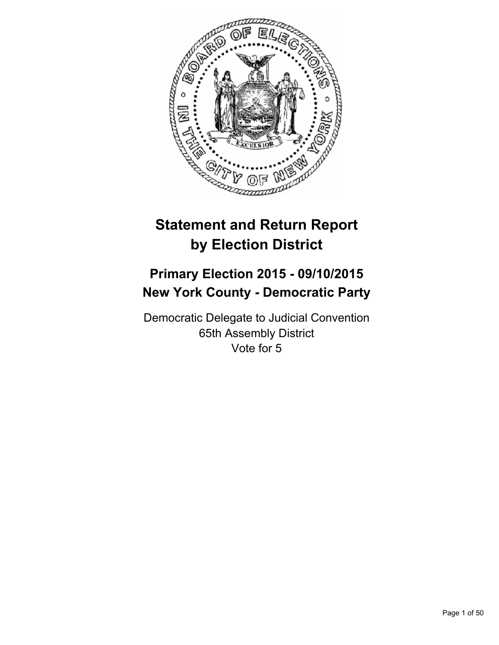

# **Statement and Return Report by Election District**

# **Primary Election 2015 - 09/10/2015 New York County - Democratic Party**

Democratic Delegate to Judicial Convention 65th Assembly District Vote for 5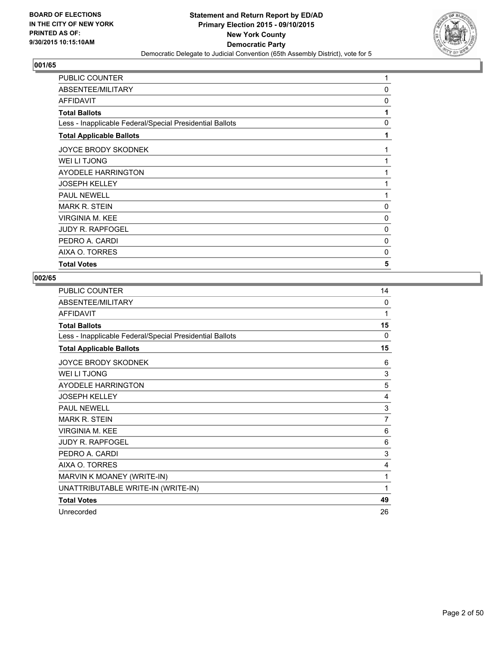

| PUBLIC COUNTER                                           | 1        |
|----------------------------------------------------------|----------|
| ABSENTEE/MILITARY                                        | 0        |
| <b>AFFIDAVIT</b>                                         | 0        |
| <b>Total Ballots</b>                                     | 1        |
| Less - Inapplicable Federal/Special Presidential Ballots | $\Omega$ |
| <b>Total Applicable Ballots</b>                          | 1        |
| <b>JOYCE BRODY SKODNEK</b>                               | 1        |
| WEI LI TJONG                                             | 1        |
| AYODELE HARRINGTON                                       | 1        |
| <b>JOSEPH KELLEY</b>                                     | 1        |
| <b>PAUL NEWELL</b>                                       | 1        |
| <b>MARK R. STEIN</b>                                     | 0        |
| <b>VIRGINIA M. KEE</b>                                   | 0        |
| <b>JUDY R. RAPFOGEL</b>                                  | 0        |
| PEDRO A. CARDI                                           | 0        |
| AIXA O. TORRES                                           | $\Omega$ |
| <b>Total Votes</b>                                       | 5        |

| <b>PUBLIC COUNTER</b>                                    | 14 |
|----------------------------------------------------------|----|
| ABSENTEE/MILITARY                                        | 0  |
| AFFIDAVIT                                                | 1  |
| <b>Total Ballots</b>                                     | 15 |
| Less - Inapplicable Federal/Special Presidential Ballots | 0  |
| <b>Total Applicable Ballots</b>                          | 15 |
| JOYCE BRODY SKODNEK                                      | 6  |
| <b>WEI LI TJONG</b>                                      | 3  |
| <b>AYODELE HARRINGTON</b>                                | 5  |
| <b>JOSEPH KELLEY</b>                                     | 4  |
| <b>PAUL NEWELL</b>                                       | 3  |
| <b>MARK R. STEIN</b>                                     | 7  |
| <b>VIRGINIA M. KEE</b>                                   | 6  |
| <b>JUDY R. RAPFOGEL</b>                                  | 6  |
| PEDRO A. CARDI                                           | 3  |
| AIXA O. TORRES                                           | 4  |
| MARVIN K MOANEY (WRITE-IN)                               | 1  |
| UNATTRIBUTABLE WRITE-IN (WRITE-IN)                       | 1  |
| <b>Total Votes</b>                                       | 49 |
| Unrecorded                                               | 26 |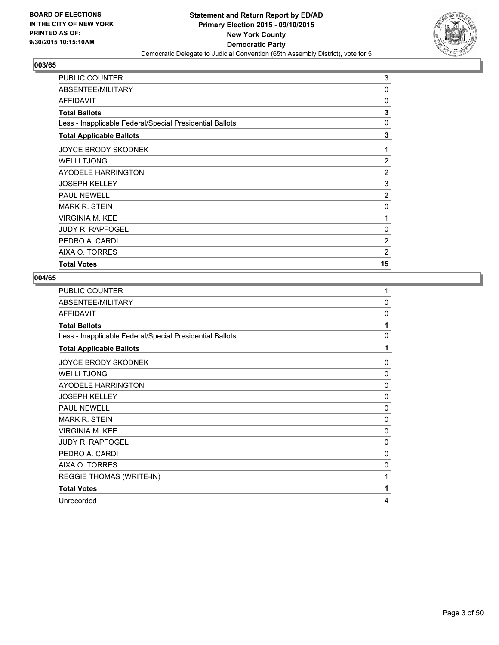

| <b>PUBLIC COUNTER</b>                                    | 3              |
|----------------------------------------------------------|----------------|
| ABSENTEE/MILITARY                                        | 0              |
| <b>AFFIDAVIT</b>                                         | 0              |
| <b>Total Ballots</b>                                     | 3              |
| Less - Inapplicable Federal/Special Presidential Ballots | 0              |
| <b>Total Applicable Ballots</b>                          | 3              |
| JOYCE BRODY SKODNEK                                      | 1              |
| WEI LI TJONG                                             | $\overline{2}$ |
| AYODELE HARRINGTON                                       | 2              |
| <b>JOSEPH KELLEY</b>                                     | 3              |
| <b>PAUL NEWELL</b>                                       | $\overline{c}$ |
| <b>MARK R. STEIN</b>                                     | 0              |
| <b>VIRGINIA M. KEE</b>                                   | 1              |
| <b>JUDY R. RAPFOGEL</b>                                  | 0              |
| PEDRO A. CARDI                                           | $\overline{2}$ |
| AIXA O. TORRES                                           | $\overline{c}$ |
| <b>Total Votes</b>                                       | 15             |

| <b>PUBLIC COUNTER</b>                                    | 1            |
|----------------------------------------------------------|--------------|
| ABSENTEE/MILITARY                                        | $\mathbf{0}$ |
| <b>AFFIDAVIT</b>                                         | 0            |
| <b>Total Ballots</b>                                     | 1            |
| Less - Inapplicable Federal/Special Presidential Ballots | $\Omega$     |
| <b>Total Applicable Ballots</b>                          | 1            |
| <b>JOYCE BRODY SKODNEK</b>                               | 0            |
| <b>WEI LI TJONG</b>                                      | $\Omega$     |
| <b>AYODELE HARRINGTON</b>                                | 0            |
| <b>JOSEPH KELLEY</b>                                     | 0            |
| <b>PAUL NEWELL</b>                                       | 0            |
| <b>MARK R. STEIN</b>                                     | 0            |
| <b>VIRGINIA M. KEE</b>                                   | $\mathbf{0}$ |
| <b>JUDY R. RAPFOGEL</b>                                  | $\Omega$     |
| PEDRO A. CARDI                                           | 0            |
| AIXA O. TORRES                                           | 0            |
| <b>REGGIE THOMAS (WRITE-IN)</b>                          | 1            |
| <b>Total Votes</b>                                       | 1            |
| Unrecorded                                               | 4            |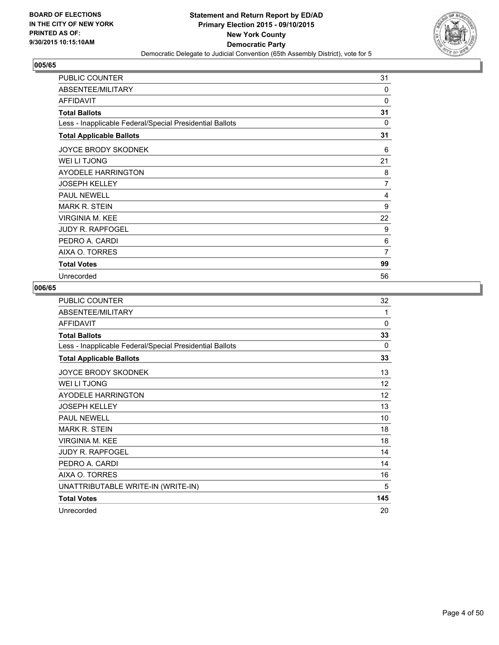

| PUBLIC COUNTER                                           | 31       |
|----------------------------------------------------------|----------|
| ABSENTEE/MILITARY                                        | 0        |
| <b>AFFIDAVIT</b>                                         | 0        |
| <b>Total Ballots</b>                                     | 31       |
| Less - Inapplicable Federal/Special Presidential Ballots | $\Omega$ |
| <b>Total Applicable Ballots</b>                          | 31       |
| <b>JOYCE BRODY SKODNEK</b>                               | 6        |
| WEI LI TJONG                                             | 21       |
| AYODELE HARRINGTON                                       | 8        |
| <b>JOSEPH KELLEY</b>                                     | 7        |
| <b>PAUL NEWELL</b>                                       | 4        |
| <b>MARK R. STEIN</b>                                     | 9        |
| <b>VIRGINIA M. KEE</b>                                   | 22       |
| <b>JUDY R. RAPFOGEL</b>                                  | 9        |
| PEDRO A. CARDI                                           | 6        |
| AIXA O. TORRES                                           | 7        |
| <b>Total Votes</b>                                       | 99       |
| Unrecorded                                               | 56       |

| <b>PUBLIC COUNTER</b>                                    | 32       |
|----------------------------------------------------------|----------|
| ABSENTEE/MILITARY                                        | 1        |
| <b>AFFIDAVIT</b>                                         | 0        |
| <b>Total Ballots</b>                                     | 33       |
| Less - Inapplicable Federal/Special Presidential Ballots | $\Omega$ |
| <b>Total Applicable Ballots</b>                          | 33       |
| <b>JOYCE BRODY SKODNEK</b>                               | 13       |
| WEI LI TJONG                                             | 12       |
| <b>AYODELE HARRINGTON</b>                                | 12       |
| <b>JOSEPH KELLEY</b>                                     | 13       |
| <b>PAUL NEWELL</b>                                       | 10       |
| MARK R. STEIN                                            | 18       |
| <b>VIRGINIA M. KEE</b>                                   | 18       |
| <b>JUDY R. RAPFOGEL</b>                                  | 14       |
| PEDRO A. CARDI                                           | 14       |
| AIXA O. TORRES                                           | 16       |
| UNATTRIBUTABLE WRITE-IN (WRITE-IN)                       | 5        |
| <b>Total Votes</b>                                       | 145      |
| Unrecorded                                               | 20       |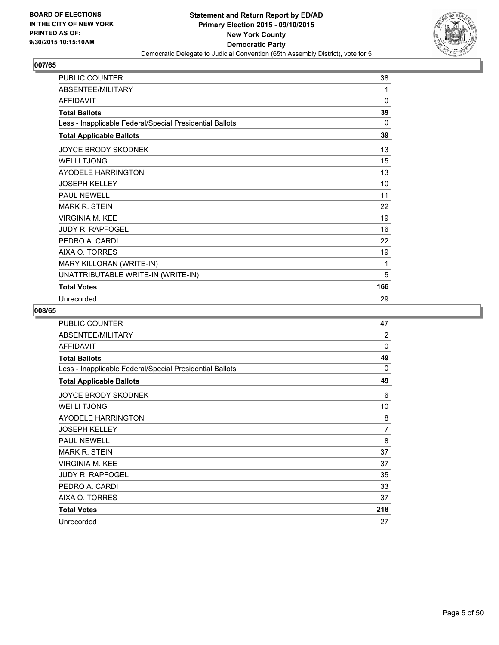

| <b>PUBLIC COUNTER</b>                                    | 38  |
|----------------------------------------------------------|-----|
| ABSENTEE/MILITARY                                        | 1   |
| <b>AFFIDAVIT</b>                                         | 0   |
| <b>Total Ballots</b>                                     | 39  |
| Less - Inapplicable Federal/Special Presidential Ballots | 0   |
| <b>Total Applicable Ballots</b>                          | 39  |
| <b>JOYCE BRODY SKODNEK</b>                               | 13  |
| <b>WEI LI TJONG</b>                                      | 15  |
| <b>AYODELE HARRINGTON</b>                                | 13  |
| <b>JOSEPH KELLEY</b>                                     | 10  |
| <b>PAUL NEWELL</b>                                       | 11  |
| <b>MARK R. STEIN</b>                                     | 22  |
| <b>VIRGINIA M. KEE</b>                                   | 19  |
| <b>JUDY R. RAPFOGEL</b>                                  | 16  |
| PEDRO A. CARDI                                           | 22  |
| AIXA O. TORRES                                           | 19  |
| MARY KILLORAN (WRITE-IN)                                 | 1   |
| UNATTRIBUTABLE WRITE-IN (WRITE-IN)                       | 5   |
| <b>Total Votes</b>                                       | 166 |
| Unrecorded                                               | 29  |

| <b>PUBLIC COUNTER</b>                                    | 47             |
|----------------------------------------------------------|----------------|
| ABSENTEE/MILITARY                                        | $\overline{2}$ |
| <b>AFFIDAVIT</b>                                         | $\Omega$       |
| <b>Total Ballots</b>                                     | 49             |
| Less - Inapplicable Federal/Special Presidential Ballots | $\Omega$       |
| <b>Total Applicable Ballots</b>                          | 49             |
| <b>JOYCE BRODY SKODNEK</b>                               | 6              |
| WEI LI TJONG                                             | 10             |
| <b>AYODELE HARRINGTON</b>                                | 8              |
| <b>JOSEPH KELLEY</b>                                     | $\overline{7}$ |
| <b>PAUL NEWELL</b>                                       | 8              |
| <b>MARK R. STEIN</b>                                     | 37             |
| <b>VIRGINIA M. KEE</b>                                   | 37             |
| <b>JUDY R. RAPFOGEL</b>                                  | 35             |
| PEDRO A. CARDI                                           | 33             |
| AIXA O. TORRES                                           | 37             |
| <b>Total Votes</b>                                       | 218            |
| Unrecorded                                               | 27             |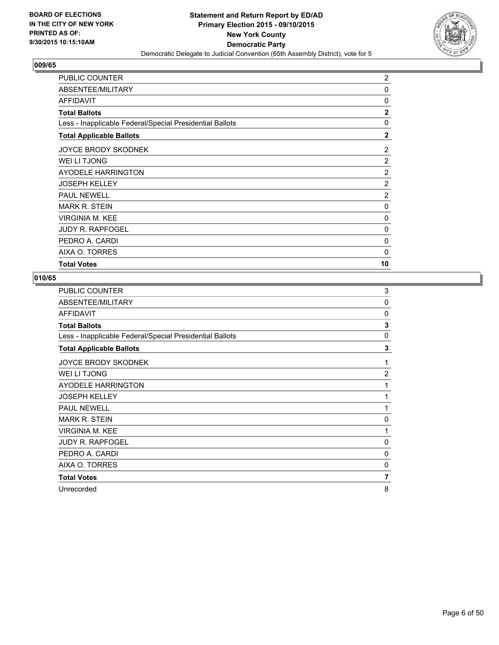

| <b>PUBLIC COUNTER</b>                                    | $\overline{2}$ |
|----------------------------------------------------------|----------------|
| ABSENTEE/MILITARY                                        | 0              |
| <b>AFFIDAVIT</b>                                         | 0              |
| <b>Total Ballots</b>                                     | $\mathbf{2}$   |
| Less - Inapplicable Federal/Special Presidential Ballots | 0              |
| <b>Total Applicable Ballots</b>                          | $\mathbf{2}$   |
| JOYCE BRODY SKODNEK                                      | 2              |
| WEI LI TJONG                                             | $\overline{2}$ |
| AYODELE HARRINGTON                                       | 2              |
| <b>JOSEPH KELLEY</b>                                     | $\overline{2}$ |
| <b>PAUL NEWELL</b>                                       | $\overline{2}$ |
| <b>MARK R. STEIN</b>                                     | 0              |
| <b>VIRGINIA M. KEE</b>                                   | 0              |
| <b>JUDY R. RAPFOGEL</b>                                  | 0              |
| PEDRO A. CARDI                                           | 0              |
| AIXA O. TORRES                                           | 0              |
| <b>Total Votes</b>                                       | 10             |

| <b>PUBLIC COUNTER</b>                                    | 3              |
|----------------------------------------------------------|----------------|
| ABSENTEE/MILITARY                                        | 0              |
| <b>AFFIDAVIT</b>                                         | 0              |
| <b>Total Ballots</b>                                     | 3              |
| Less - Inapplicable Federal/Special Presidential Ballots | $\Omega$       |
| <b>Total Applicable Ballots</b>                          | 3              |
| JOYCE BRODY SKODNEK                                      | 1              |
| WEI LI TJONG                                             | $\overline{2}$ |
| AYODELE HARRINGTON                                       | 1              |
| <b>JOSEPH KELLEY</b>                                     | 1              |
| <b>PAUL NEWELL</b>                                       | 1              |
| <b>MARK R. STEIN</b>                                     | 0              |
| <b>VIRGINIA M. KEE</b>                                   | 1              |
| <b>JUDY R. RAPFOGEL</b>                                  | $\Omega$       |
| PEDRO A. CARDI                                           | 0              |
| AIXA O. TORRES                                           | 0              |
| <b>Total Votes</b>                                       | 7              |
| Unrecorded                                               | 8              |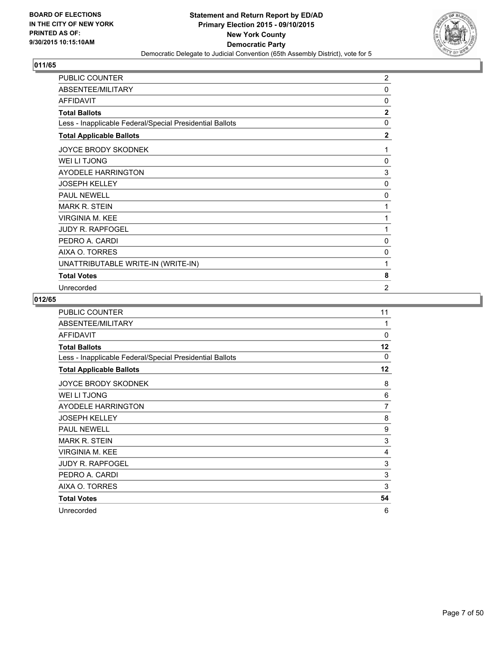

| PUBLIC COUNTER                                           | $\overline{2}$ |
|----------------------------------------------------------|----------------|
| ABSENTEE/MILITARY                                        | 0              |
| <b>AFFIDAVIT</b>                                         | 0              |
| <b>Total Ballots</b>                                     | $\mathbf 2$    |
| Less - Inapplicable Federal/Special Presidential Ballots | $\mathbf{0}$   |
| <b>Total Applicable Ballots</b>                          | $\overline{2}$ |
| JOYCE BRODY SKODNEK                                      | 1              |
| <b>WEI LI TJONG</b>                                      | $\mathbf 0$    |
| <b>AYODELE HARRINGTON</b>                                | 3              |
| <b>JOSEPH KELLEY</b>                                     | $\mathbf 0$    |
| <b>PAUL NEWELL</b>                                       | $\mathbf 0$    |
| <b>MARK R. STEIN</b>                                     | 1              |
| <b>VIRGINIA M. KEE</b>                                   | $\mathbf 1$    |
| JUDY R. RAPFOGEL                                         | $\mathbf{1}$   |
| PEDRO A. CARDI                                           | 0              |
| AIXA O. TORRES                                           | 0              |
| UNATTRIBUTABLE WRITE-IN (WRITE-IN)                       | 1              |
| <b>Total Votes</b>                                       | 8              |
| Unrecorded                                               | $\overline{2}$ |

| <b>PUBLIC COUNTER</b>                                    | 11       |
|----------------------------------------------------------|----------|
| ABSENTEE/MILITARY                                        | 1        |
| <b>AFFIDAVIT</b>                                         | $\Omega$ |
| <b>Total Ballots</b>                                     | 12       |
| Less - Inapplicable Federal/Special Presidential Ballots | $\Omega$ |
| <b>Total Applicable Ballots</b>                          | 12       |
| <b>JOYCE BRODY SKODNEK</b>                               | 8        |
| WEI LI TJONG                                             | 6        |
| AYODELE HARRINGTON                                       | 7        |
| <b>JOSEPH KELLEY</b>                                     | 8        |
| <b>PAUL NEWELL</b>                                       | 9        |
| <b>MARK R. STEIN</b>                                     | 3        |
| <b>VIRGINIA M. KEE</b>                                   | 4        |
| <b>JUDY R. RAPFOGEL</b>                                  | 3        |
| PEDRO A. CARDI                                           | 3        |
| AIXA O. TORRES                                           | 3        |
| <b>Total Votes</b>                                       | 54       |
| Unrecorded                                               | 6        |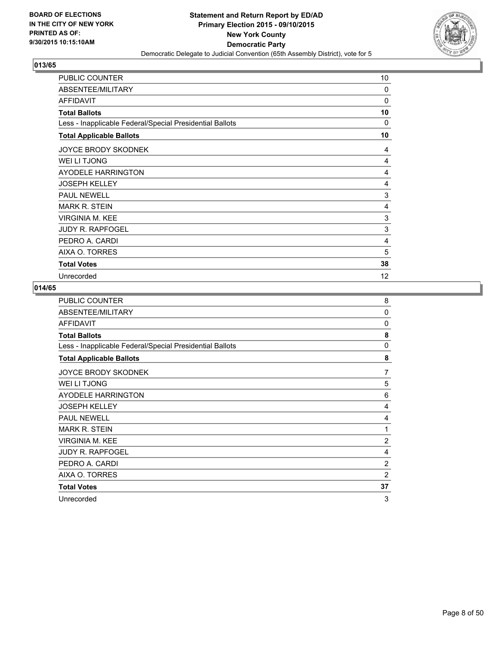

| PUBLIC COUNTER                                           | 10       |
|----------------------------------------------------------|----------|
| ABSENTEE/MILITARY                                        | $\Omega$ |
| AFFIDAVIT                                                | $\Omega$ |
| <b>Total Ballots</b>                                     | 10       |
| Less - Inapplicable Federal/Special Presidential Ballots | $\Omega$ |
| <b>Total Applicable Ballots</b>                          | 10       |
| <b>JOYCE BRODY SKODNEK</b>                               | 4        |
| WEI LI TJONG                                             | 4        |
| AYODELE HARRINGTON                                       | 4        |
| <b>JOSEPH KELLEY</b>                                     | 4        |
| <b>PAUL NEWELL</b>                                       | 3        |
| <b>MARK R. STEIN</b>                                     | 4        |
| <b>VIRGINIA M. KEE</b>                                   | 3        |
| <b>JUDY R. RAPFOGEL</b>                                  | 3        |
| PEDRO A. CARDI                                           | 4        |
| AIXA O. TORRES                                           | 5        |
| <b>Total Votes</b>                                       | 38       |
| Unrecorded                                               | 12       |

| PUBLIC COUNTER                                           | 8              |
|----------------------------------------------------------|----------------|
| ABSENTEE/MILITARY                                        | 0              |
| <b>AFFIDAVIT</b>                                         | 0              |
| <b>Total Ballots</b>                                     | 8              |
| Less - Inapplicable Federal/Special Presidential Ballots | 0              |
| <b>Total Applicable Ballots</b>                          | 8              |
| JOYCE BRODY SKODNEK                                      | 7              |
| <b>WEI LI TJONG</b>                                      | 5              |
| <b>AYODELE HARRINGTON</b>                                | 6              |
| <b>JOSEPH KELLEY</b>                                     | 4              |
| <b>PAUL NEWELL</b>                                       | 4              |
| <b>MARK R. STEIN</b>                                     | 1              |
| <b>VIRGINIA M. KEE</b>                                   | $\overline{2}$ |
| <b>JUDY R. RAPFOGEL</b>                                  | 4              |
| PEDRO A. CARDI                                           | $\overline{c}$ |
| AIXA O. TORRES                                           | $\overline{c}$ |
| <b>Total Votes</b>                                       | 37             |
| Unrecorded                                               | 3              |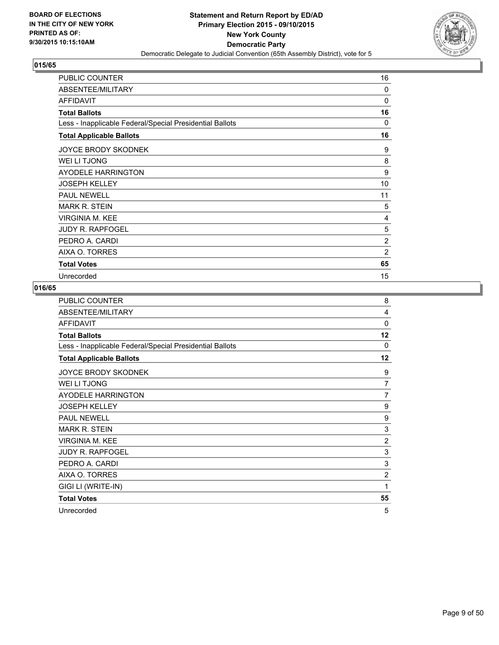

| PUBLIC COUNTER                                           | 16             |
|----------------------------------------------------------|----------------|
| ABSENTEE/MILITARY                                        | $\Omega$       |
| <b>AFFIDAVIT</b>                                         | $\Omega$       |
| <b>Total Ballots</b>                                     | 16             |
| Less - Inapplicable Federal/Special Presidential Ballots | $\Omega$       |
| <b>Total Applicable Ballots</b>                          | 16             |
| <b>JOYCE BRODY SKODNEK</b>                               | 9              |
| WEI LI TJONG                                             | 8              |
| AYODELE HARRINGTON                                       | 9              |
| <b>JOSEPH KELLEY</b>                                     | 10             |
| <b>PAUL NEWELL</b>                                       | 11             |
| <b>MARK R. STEIN</b>                                     | 5              |
| <b>VIRGINIA M. KEE</b>                                   | 4              |
| <b>JUDY R. RAPFOGEL</b>                                  | 5              |
| PEDRO A. CARDI                                           | $\overline{2}$ |
| AIXA O. TORRES                                           | 2              |
| <b>Total Votes</b>                                       | 65             |
| Unrecorded                                               | 15             |

| PUBLIC COUNTER                                           | 8              |
|----------------------------------------------------------|----------------|
| ABSENTEE/MILITARY                                        | 4              |
| <b>AFFIDAVIT</b>                                         | $\Omega$       |
| <b>Total Ballots</b>                                     | 12             |
| Less - Inapplicable Federal/Special Presidential Ballots | 0              |
| <b>Total Applicable Ballots</b>                          | 12             |
| JOYCE BRODY SKODNEK                                      | 9              |
| <b>WEI LI TJONG</b>                                      | $\overline{7}$ |
| <b>AYODELE HARRINGTON</b>                                | $\overline{7}$ |
| <b>JOSEPH KELLEY</b>                                     | 9              |
| <b>PAUL NEWELL</b>                                       | 9              |
| <b>MARK R. STEIN</b>                                     | 3              |
| <b>VIRGINIA M. KEE</b>                                   | $\overline{2}$ |
| <b>JUDY R. RAPFOGEL</b>                                  | 3              |
| PEDRO A. CARDI                                           | 3              |
| AIXA O. TORRES                                           | $\overline{2}$ |
| GIGI LI (WRITE-IN)                                       | 1              |
| <b>Total Votes</b>                                       | 55             |
| Unrecorded                                               | 5              |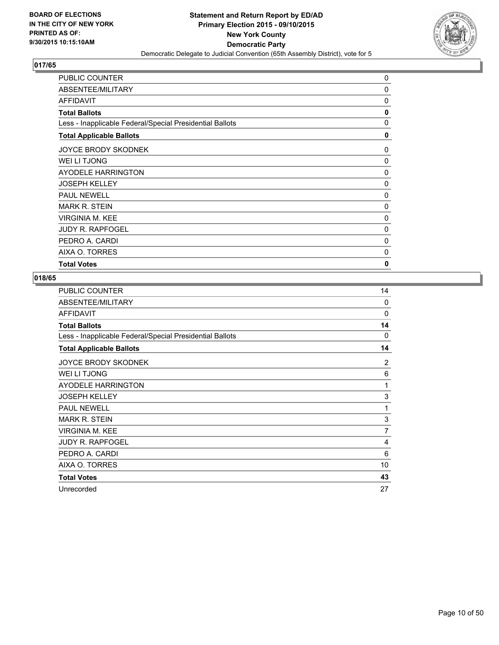

| <b>PUBLIC COUNTER</b>                                    | 0        |
|----------------------------------------------------------|----------|
| ABSENTEE/MILITARY                                        | 0        |
| <b>AFFIDAVIT</b>                                         | 0        |
| <b>Total Ballots</b>                                     | 0        |
| Less - Inapplicable Federal/Special Presidential Ballots | 0        |
| <b>Total Applicable Ballots</b>                          | 0        |
| JOYCE BRODY SKODNEK                                      | 0        |
| WEI LI TJONG                                             | 0        |
| AYODELE HARRINGTON                                       | $\Omega$ |
| <b>JOSEPH KELLEY</b>                                     | 0        |
| <b>PAUL NEWELL</b>                                       | 0        |
| <b>MARK R. STEIN</b>                                     | 0        |
| <b>VIRGINIA M. KEE</b>                                   | 0        |
| <b>JUDY R. RAPFOGEL</b>                                  | 0        |
| PEDRO A. CARDI                                           | 0        |
| AIXA O. TORRES                                           | $\Omega$ |
| <b>Total Votes</b>                                       | 0        |

| <b>PUBLIC COUNTER</b>                                    | 14       |
|----------------------------------------------------------|----------|
| ABSENTEE/MILITARY                                        | 0        |
| <b>AFFIDAVIT</b>                                         | 0        |
| <b>Total Ballots</b>                                     | 14       |
| Less - Inapplicable Federal/Special Presidential Ballots | $\Omega$ |
| <b>Total Applicable Ballots</b>                          | 14       |
| <b>JOYCE BRODY SKODNEK</b>                               | 2        |
| WEI LI TJONG                                             | 6        |
| AYODELE HARRINGTON                                       | 1        |
| <b>JOSEPH KELLEY</b>                                     | 3        |
| <b>PAUL NEWELL</b>                                       | 1        |
| <b>MARK R. STEIN</b>                                     | 3        |
| VIRGINIA M. KEE                                          | 7        |
| <b>JUDY R. RAPFOGEL</b>                                  | 4        |
| PEDRO A. CARDI                                           | 6        |
| AIXA O. TORRES                                           | 10       |
| <b>Total Votes</b>                                       | 43       |
| Unrecorded                                               | 27       |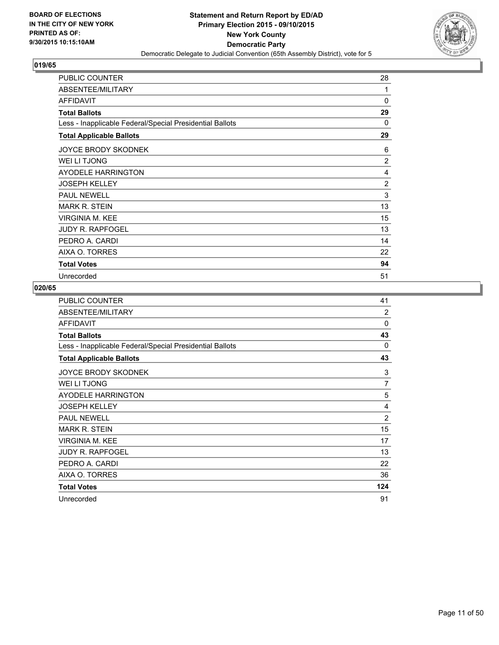

| PUBLIC COUNTER                                           | 28             |
|----------------------------------------------------------|----------------|
| ABSENTEE/MILITARY                                        | 1              |
| <b>AFFIDAVIT</b>                                         | 0              |
| <b>Total Ballots</b>                                     | 29             |
| Less - Inapplicable Federal/Special Presidential Ballots | 0              |
| <b>Total Applicable Ballots</b>                          | 29             |
| <b>JOYCE BRODY SKODNEK</b>                               | 6              |
| WEI LI TJONG                                             | $\overline{2}$ |
| AYODELE HARRINGTON                                       | 4              |
| <b>JOSEPH KELLEY</b>                                     | $\overline{2}$ |
| <b>PAUL NEWELL</b>                                       | 3              |
| <b>MARK R. STEIN</b>                                     | 13             |
| <b>VIRGINIA M. KEE</b>                                   | 15             |
| <b>JUDY R. RAPFOGEL</b>                                  | 13             |
| PEDRO A. CARDI                                           | 14             |
| AIXA O. TORRES                                           | 22             |
| <b>Total Votes</b>                                       | 94             |
| Unrecorded                                               | 51             |

| PUBLIC COUNTER                                           | 41             |
|----------------------------------------------------------|----------------|
| ABSENTEE/MILITARY                                        | $\overline{2}$ |
| <b>AFFIDAVIT</b>                                         | 0              |
| <b>Total Ballots</b>                                     | 43             |
| Less - Inapplicable Federal/Special Presidential Ballots | 0              |
| <b>Total Applicable Ballots</b>                          | 43             |
| JOYCE BRODY SKODNEK                                      | 3              |
| WEI LI TJONG                                             | 7              |
| <b>AYODELE HARRINGTON</b>                                | 5              |
| <b>JOSEPH KELLEY</b>                                     | 4              |
| <b>PAUL NEWELL</b>                                       | $\overline{c}$ |
| <b>MARK R. STEIN</b>                                     | 15             |
| <b>VIRGINIA M. KEE</b>                                   | 17             |
| <b>JUDY R. RAPFOGEL</b>                                  | 13             |
| PEDRO A. CARDI                                           | 22             |
| AIXA O. TORRES                                           | 36             |
| <b>Total Votes</b>                                       | 124            |
| Unrecorded                                               | 91             |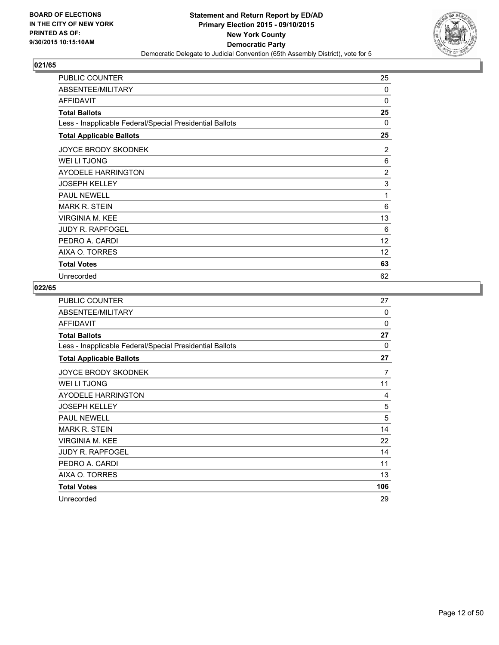

| PUBLIC COUNTER                                           | 25             |
|----------------------------------------------------------|----------------|
| ABSENTEE/MILITARY                                        | 0              |
| <b>AFFIDAVIT</b>                                         | 0              |
| <b>Total Ballots</b>                                     | 25             |
| Less - Inapplicable Federal/Special Presidential Ballots | 0              |
| <b>Total Applicable Ballots</b>                          | 25             |
| <b>JOYCE BRODY SKODNEK</b>                               | 2              |
| WEI LI TJONG                                             | 6              |
| AYODELE HARRINGTON                                       | $\overline{2}$ |
| <b>JOSEPH KELLEY</b>                                     | 3              |
| <b>PAUL NEWELL</b>                                       | 1              |
| <b>MARK R. STEIN</b>                                     | 6              |
| <b>VIRGINIA M. KEE</b>                                   | 13             |
| <b>JUDY R. RAPFOGEL</b>                                  | 6              |
| PEDRO A. CARDI                                           | 12             |
| AIXA O. TORRES                                           | 12             |
| <b>Total Votes</b>                                       | 63             |
| Unrecorded                                               | 62             |

| PUBLIC COUNTER                                           | 27  |
|----------------------------------------------------------|-----|
| ABSENTEE/MILITARY                                        | 0   |
| <b>AFFIDAVIT</b>                                         | 0   |
| <b>Total Ballots</b>                                     | 27  |
| Less - Inapplicable Federal/Special Presidential Ballots | 0   |
| <b>Total Applicable Ballots</b>                          | 27  |
| JOYCE BRODY SKODNEK                                      | 7   |
| WEI LI TJONG                                             | 11  |
| <b>AYODELE HARRINGTON</b>                                | 4   |
| <b>JOSEPH KELLEY</b>                                     | 5   |
| <b>PAUL NEWELL</b>                                       | 5   |
| <b>MARK R. STEIN</b>                                     | 14  |
| <b>VIRGINIA M. KEE</b>                                   | 22  |
| <b>JUDY R. RAPFOGEL</b>                                  | 14  |
| PEDRO A. CARDI                                           | 11  |
| AIXA O. TORRES                                           | 13  |
| <b>Total Votes</b>                                       | 106 |
| Unrecorded                                               | 29  |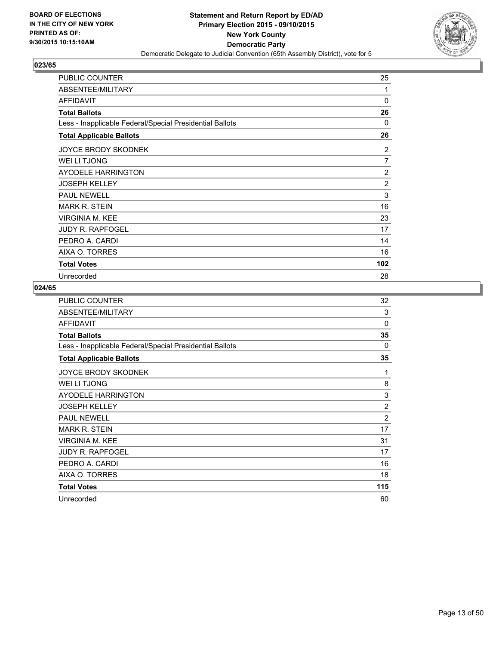

| PUBLIC COUNTER                                           | 25             |
|----------------------------------------------------------|----------------|
| ABSENTEE/MILITARY                                        | 1              |
| <b>AFFIDAVIT</b>                                         | 0              |
| <b>Total Ballots</b>                                     | 26             |
| Less - Inapplicable Federal/Special Presidential Ballots | 0              |
| <b>Total Applicable Ballots</b>                          | 26             |
| <b>JOYCE BRODY SKODNEK</b>                               | 2              |
| WEI LI TJONG                                             | 7              |
| AYODELE HARRINGTON                                       | $\overline{2}$ |
| <b>JOSEPH KELLEY</b>                                     | $\overline{2}$ |
| <b>PAUL NEWELL</b>                                       | 3              |
| <b>MARK R. STEIN</b>                                     | 16             |
| <b>VIRGINIA M. KEE</b>                                   | 23             |
| <b>JUDY R. RAPFOGEL</b>                                  | 17             |
| PEDRO A. CARDI                                           | 14             |
| AIXA O. TORRES                                           | 16             |
| <b>Total Votes</b>                                       | 102            |
| Unrecorded                                               | 28             |

| PUBLIC COUNTER                                           | 32             |
|----------------------------------------------------------|----------------|
| ABSENTEE/MILITARY                                        | 3              |
| <b>AFFIDAVIT</b>                                         | $\mathbf{0}$   |
| <b>Total Ballots</b>                                     | 35             |
| Less - Inapplicable Federal/Special Presidential Ballots | 0              |
| <b>Total Applicable Ballots</b>                          | 35             |
| JOYCE BRODY SKODNEK                                      | 1              |
| WEI LI TJONG                                             | 8              |
| <b>AYODELE HARRINGTON</b>                                | 3              |
| <b>JOSEPH KELLEY</b>                                     | $\overline{2}$ |
| <b>PAUL NEWELL</b>                                       | $\overline{2}$ |
| <b>MARK R. STEIN</b>                                     | 17             |
| <b>VIRGINIA M. KEE</b>                                   | 31             |
| <b>JUDY R. RAPFOGEL</b>                                  | 17             |
| PEDRO A. CARDI                                           | 16             |
| AIXA O. TORRES                                           | 18             |
| <b>Total Votes</b>                                       | 115            |
| Unrecorded                                               | 60             |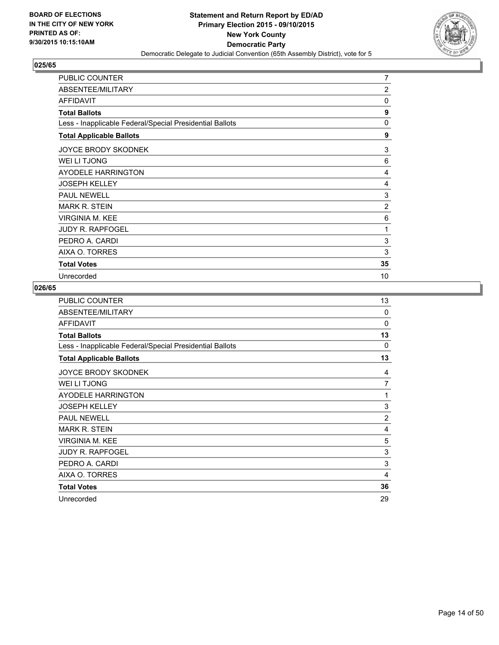

| PUBLIC COUNTER                                           | $\overline{7}$ |
|----------------------------------------------------------|----------------|
| ABSENTEE/MILITARY                                        | $\overline{2}$ |
| <b>AFFIDAVIT</b>                                         | $\Omega$       |
| <b>Total Ballots</b>                                     | 9              |
| Less - Inapplicable Federal/Special Presidential Ballots | $\Omega$       |
| <b>Total Applicable Ballots</b>                          | 9              |
| <b>JOYCE BRODY SKODNEK</b>                               | 3              |
| WEI LI TJONG                                             | 6              |
| AYODELE HARRINGTON                                       | 4              |
| <b>JOSEPH KELLEY</b>                                     | 4              |
| <b>PAUL NEWELL</b>                                       | 3              |
| <b>MARK R. STEIN</b>                                     | $\overline{2}$ |
| VIRGINIA M. KEE                                          | 6              |
| <b>JUDY R. RAPFOGEL</b>                                  | 1              |
| PEDRO A. CARDI                                           | 3              |
| AIXA O. TORRES                                           | 3              |
| <b>Total Votes</b>                                       | 35             |
| Unrecorded                                               | 10             |

| PUBLIC COUNTER                                           | 13             |
|----------------------------------------------------------|----------------|
| ABSENTEE/MILITARY                                        | $\mathbf 0$    |
| <b>AFFIDAVIT</b>                                         | $\mathbf 0$    |
| <b>Total Ballots</b>                                     | 13             |
| Less - Inapplicable Federal/Special Presidential Ballots | 0              |
| <b>Total Applicable Ballots</b>                          | 13             |
| JOYCE BRODY SKODNEK                                      | 4              |
| WEI LI TJONG                                             | 7              |
| <b>AYODELE HARRINGTON</b>                                | 1              |
| <b>JOSEPH KELLEY</b>                                     | 3              |
| <b>PAUL NEWELL</b>                                       | $\overline{2}$ |
| <b>MARK R. STEIN</b>                                     | 4              |
| <b>VIRGINIA M. KEE</b>                                   | 5              |
| JUDY R. RAPFOGEL                                         | 3              |
| PEDRO A. CARDI                                           | 3              |
| AIXA O. TORRES                                           | 4              |
| <b>Total Votes</b>                                       | 36             |
| Unrecorded                                               | 29             |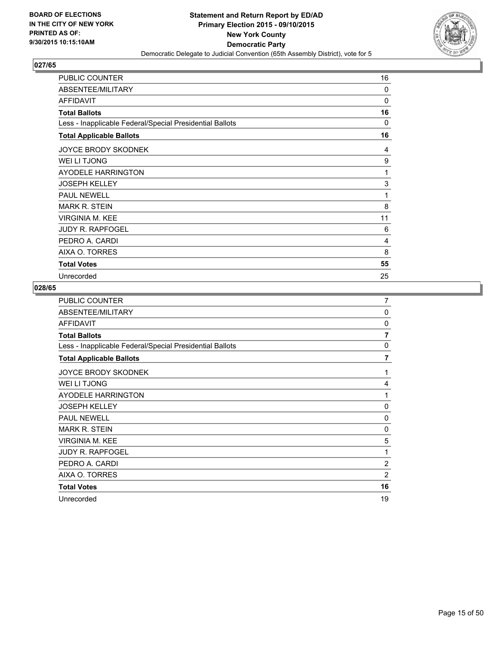

| PUBLIC COUNTER                                           | 16       |
|----------------------------------------------------------|----------|
| ABSENTEE/MILITARY                                        | 0        |
| <b>AFFIDAVIT</b>                                         | 0        |
| <b>Total Ballots</b>                                     | 16       |
| Less - Inapplicable Federal/Special Presidential Ballots | $\Omega$ |
| <b>Total Applicable Ballots</b>                          | 16       |
| <b>JOYCE BRODY SKODNEK</b>                               | 4        |
| WEI LI TJONG                                             | 9        |
| AYODELE HARRINGTON                                       | 1        |
| <b>JOSEPH KELLEY</b>                                     | 3        |
| <b>PAUL NEWELL</b>                                       | 1        |
| <b>MARK R. STEIN</b>                                     | 8        |
| <b>VIRGINIA M. KEE</b>                                   | 11       |
| <b>JUDY R. RAPFOGEL</b>                                  | 6        |
| PEDRO A. CARDI                                           | 4        |
| AIXA O. TORRES                                           | 8        |
| <b>Total Votes</b>                                       | 55       |
| Unrecorded                                               | 25       |

| PUBLIC COUNTER                                           | 7              |
|----------------------------------------------------------|----------------|
| ABSENTEE/MILITARY                                        | 0              |
| <b>AFFIDAVIT</b>                                         | $\mathbf 0$    |
| <b>Total Ballots</b>                                     | $\overline{7}$ |
| Less - Inapplicable Federal/Special Presidential Ballots | 0              |
| <b>Total Applicable Ballots</b>                          | $\overline{7}$ |
| JOYCE BRODY SKODNEK                                      | 1              |
| WEI LI TJONG                                             | 4              |
| <b>AYODELE HARRINGTON</b>                                | 1              |
| <b>JOSEPH KELLEY</b>                                     | 0              |
| <b>PAUL NEWELL</b>                                       | 0              |
| <b>MARK R. STEIN</b>                                     | $\mathbf 0$    |
| <b>VIRGINIA M. KEE</b>                                   | 5              |
| <b>JUDY R. RAPFOGEL</b>                                  | 1              |
| PEDRO A. CARDI                                           | $\overline{2}$ |
| AIXA O. TORRES                                           | $\overline{2}$ |
| <b>Total Votes</b>                                       | 16             |
| Unrecorded                                               | 19             |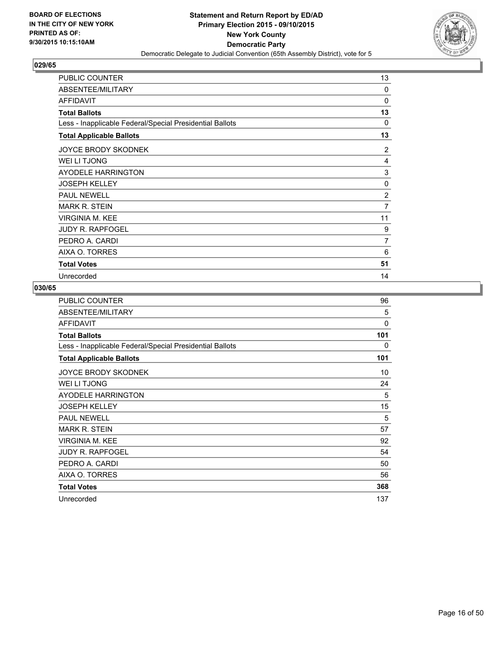

| PUBLIC COUNTER                                           | 13           |
|----------------------------------------------------------|--------------|
| ABSENTEE/MILITARY                                        | $\Omega$     |
| <b>AFFIDAVIT</b>                                         | $\Omega$     |
| <b>Total Ballots</b>                                     | 13           |
| Less - Inapplicable Federal/Special Presidential Ballots | $\Omega$     |
| <b>Total Applicable Ballots</b>                          | 13           |
| <b>JOYCE BRODY SKODNEK</b>                               | 2            |
| WEI LI TJONG                                             | 4            |
| AYODELE HARRINGTON                                       | 3            |
| <b>JOSEPH KELLEY</b>                                     | $\mathbf{0}$ |
| <b>PAUL NEWELL</b>                                       | 2            |
| <b>MARK R. STEIN</b>                                     | 7            |
| <b>VIRGINIA M. KEE</b>                                   | 11           |
| <b>JUDY R. RAPFOGEL</b>                                  | 9            |
| PEDRO A. CARDI                                           | 7            |
| AIXA O. TORRES                                           | 6            |
| <b>Total Votes</b>                                       | 51           |
| Unrecorded                                               | 14           |

| PUBLIC COUNTER                                           | 96  |
|----------------------------------------------------------|-----|
| ABSENTEE/MILITARY                                        | 5   |
| <b>AFFIDAVIT</b>                                         | 0   |
| <b>Total Ballots</b>                                     | 101 |
| Less - Inapplicable Federal/Special Presidential Ballots | 0   |
| <b>Total Applicable Ballots</b>                          | 101 |
| <b>JOYCE BRODY SKODNEK</b>                               | 10  |
| WEI LI TJONG                                             | 24  |
| <b>AYODELE HARRINGTON</b>                                | 5   |
| <b>JOSEPH KELLEY</b>                                     | 15  |
| <b>PAUL NEWELL</b>                                       | 5   |
| <b>MARK R. STEIN</b>                                     | 57  |
| <b>VIRGINIA M. KEE</b>                                   | 92  |
| <b>JUDY R. RAPFOGEL</b>                                  | 54  |
| PEDRO A. CARDI                                           | 50  |
| AIXA O. TORRES                                           | 56  |
| <b>Total Votes</b>                                       | 368 |
| Unrecorded                                               | 137 |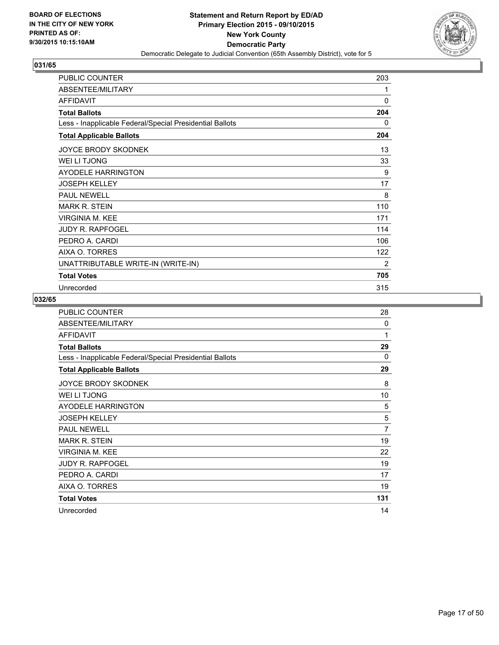

| PUBLIC COUNTER                                           | 203 |
|----------------------------------------------------------|-----|
| ABSENTEE/MILITARY                                        | 1   |
| <b>AFFIDAVIT</b>                                         | 0   |
| <b>Total Ballots</b>                                     | 204 |
| Less - Inapplicable Federal/Special Presidential Ballots | 0   |
| <b>Total Applicable Ballots</b>                          | 204 |
| JOYCE BRODY SKODNEK                                      | 13  |
| <b>WEI LI TJONG</b>                                      | 33  |
| <b>AYODELE HARRINGTON</b>                                | 9   |
| <b>JOSEPH KELLEY</b>                                     | 17  |
| <b>PAUL NEWELL</b>                                       | 8   |
| <b>MARK R. STEIN</b>                                     | 110 |
| <b>VIRGINIA M. KEE</b>                                   | 171 |
| <b>JUDY R. RAPFOGEL</b>                                  | 114 |
| PEDRO A. CARDI                                           | 106 |
| AIXA O. TORRES                                           | 122 |
| UNATTRIBUTABLE WRITE-IN (WRITE-IN)                       | 2   |
| <b>Total Votes</b>                                       | 705 |
| Unrecorded                                               | 315 |

| <b>PUBLIC COUNTER</b>                                    | 28       |
|----------------------------------------------------------|----------|
| ABSENTEE/MILITARY                                        | $\Omega$ |
| <b>AFFIDAVIT</b>                                         | 1        |
| <b>Total Ballots</b>                                     | 29       |
| Less - Inapplicable Federal/Special Presidential Ballots | $\Omega$ |
| <b>Total Applicable Ballots</b>                          | 29       |
| <b>JOYCE BRODY SKODNEK</b>                               | 8        |
| WEI LI TJONG                                             | 10       |
| <b>AYODELE HARRINGTON</b>                                | 5        |
| <b>JOSEPH KELLEY</b>                                     | 5        |
| <b>PAUL NEWELL</b>                                       | 7        |
| <b>MARK R. STEIN</b>                                     | 19       |
| <b>VIRGINIA M. KEE</b>                                   | 22       |
| <b>JUDY R. RAPFOGEL</b>                                  | 19       |
| PEDRO A. CARDI                                           | 17       |
| AIXA O. TORRES                                           | 19       |
| <b>Total Votes</b>                                       | 131      |
| Unrecorded                                               | 14       |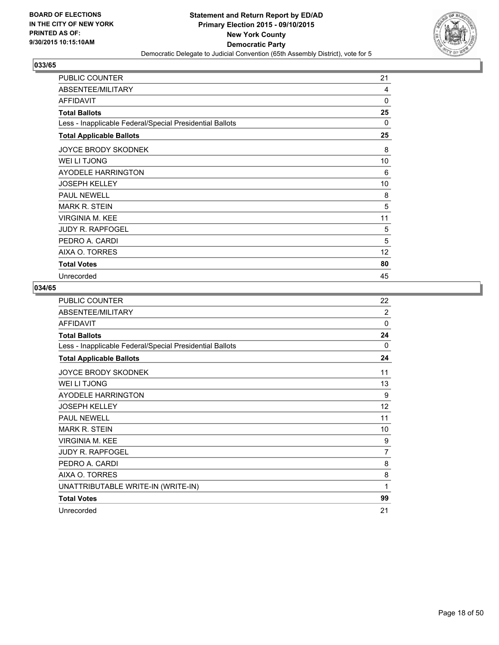

| PUBLIC COUNTER                                           | 21       |
|----------------------------------------------------------|----------|
| ABSENTEE/MILITARY                                        | 4        |
| <b>AFFIDAVIT</b>                                         | $\Omega$ |
| <b>Total Ballots</b>                                     | 25       |
| Less - Inapplicable Federal/Special Presidential Ballots | 0        |
| <b>Total Applicable Ballots</b>                          | 25       |
| <b>JOYCE BRODY SKODNEK</b>                               | 8        |
| WEI LI TJONG                                             | 10       |
| AYODELE HARRINGTON                                       | 6        |
| <b>JOSEPH KELLEY</b>                                     | 10       |
| <b>PAUL NEWELL</b>                                       | 8        |
| <b>MARK R. STEIN</b>                                     | 5        |
| <b>VIRGINIA M. KEE</b>                                   | 11       |
| <b>JUDY R. RAPFOGEL</b>                                  | 5        |
| PEDRO A. CARDI                                           | 5        |
| AIXA O. TORRES                                           | 12       |
| <b>Total Votes</b>                                       | 80       |
| Unrecorded                                               | 45       |

| PUBLIC COUNTER                                           | 22       |
|----------------------------------------------------------|----------|
| ABSENTEE/MILITARY                                        | 2        |
| <b>AFFIDAVIT</b>                                         | $\Omega$ |
| <b>Total Ballots</b>                                     | 24       |
| Less - Inapplicable Federal/Special Presidential Ballots | 0        |
| <b>Total Applicable Ballots</b>                          | 24       |
| <b>JOYCE BRODY SKODNEK</b>                               | 11       |
| WEI LI TJONG                                             | 13       |
| <b>AYODELE HARRINGTON</b>                                | 9        |
| <b>JOSEPH KELLEY</b>                                     | 12       |
| <b>PAUL NEWELL</b>                                       | 11       |
| MARK R. STEIN                                            | 10       |
| <b>VIRGINIA M. KEE</b>                                   | 9        |
| <b>JUDY R. RAPFOGEL</b>                                  | 7        |
| PEDRO A. CARDI                                           | 8        |
| AIXA O. TORRES                                           | 8        |
| UNATTRIBUTABLE WRITE-IN (WRITE-IN)                       | 1        |
| <b>Total Votes</b>                                       | 99       |
| Unrecorded                                               | 21       |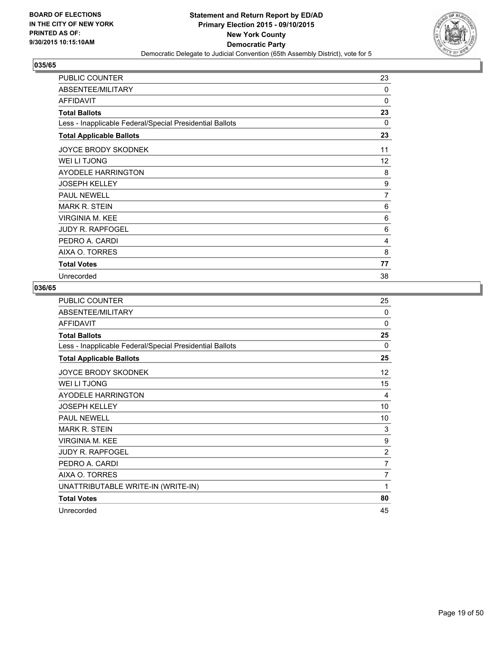

| PUBLIC COUNTER                                           | 23       |
|----------------------------------------------------------|----------|
| ABSENTEE/MILITARY                                        | 0        |
| <b>AFFIDAVIT</b>                                         | $\Omega$ |
| <b>Total Ballots</b>                                     | 23       |
| Less - Inapplicable Federal/Special Presidential Ballots | 0        |
| <b>Total Applicable Ballots</b>                          | 23       |
| <b>JOYCE BRODY SKODNEK</b>                               | 11       |
| WEI LI TJONG                                             | 12       |
| AYODELE HARRINGTON                                       | 8        |
| <b>JOSEPH KELLEY</b>                                     | 9        |
| <b>PAUL NEWELL</b>                                       | 7        |
| <b>MARK R. STEIN</b>                                     | 6        |
| <b>VIRGINIA M. KEE</b>                                   | 6        |
| <b>JUDY R. RAPFOGEL</b>                                  | 6        |
| PEDRO A. CARDI                                           | 4        |
| AIXA O. TORRES                                           | 8        |
| <b>Total Votes</b>                                       | 77       |
| Unrecorded                                               | 38       |

| <b>PUBLIC COUNTER</b>                                    | 25             |
|----------------------------------------------------------|----------------|
| ABSENTEE/MILITARY                                        | $\Omega$       |
| <b>AFFIDAVIT</b>                                         | $\Omega$       |
| <b>Total Ballots</b>                                     | 25             |
| Less - Inapplicable Federal/Special Presidential Ballots | $\Omega$       |
| <b>Total Applicable Ballots</b>                          | 25             |
| JOYCE BRODY SKODNEK                                      | 12             |
| <b>WEI LI TJONG</b>                                      | 15             |
| AYODELE HARRINGTON                                       | 4              |
| <b>JOSEPH KELLEY</b>                                     | 10             |
| <b>PAUL NEWELL</b>                                       | 10             |
| <b>MARK R. STEIN</b>                                     | 3              |
| <b>VIRGINIA M. KEE</b>                                   | 9              |
| <b>JUDY R. RAPFOGEL</b>                                  | $\overline{2}$ |
| PEDRO A. CARDI                                           | $\overline{7}$ |
| AIXA O. TORRES                                           | $\overline{7}$ |
| UNATTRIBUTABLE WRITE-IN (WRITE-IN)                       | 1              |
| <b>Total Votes</b>                                       | 80             |
| Unrecorded                                               | 45             |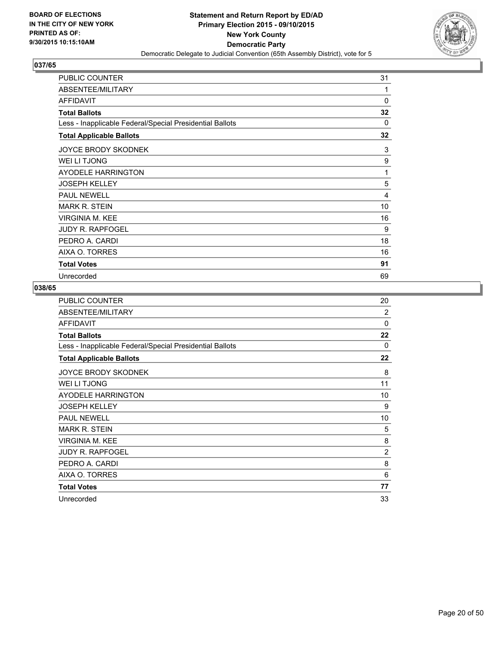

| PUBLIC COUNTER                                           | 31       |
|----------------------------------------------------------|----------|
| ABSENTEE/MILITARY                                        | 1        |
| <b>AFFIDAVIT</b>                                         | 0        |
| <b>Total Ballots</b>                                     | 32       |
| Less - Inapplicable Federal/Special Presidential Ballots | $\Omega$ |
| <b>Total Applicable Ballots</b>                          | 32       |
| <b>JOYCE BRODY SKODNEK</b>                               | 3        |
| WEI LI TJONG                                             | 9        |
| AYODELE HARRINGTON                                       | 1        |
| <b>JOSEPH KELLEY</b>                                     | 5        |
| <b>PAUL NEWELL</b>                                       | 4        |
| <b>MARK R. STEIN</b>                                     | 10       |
| <b>VIRGINIA M. KEE</b>                                   | 16       |
| <b>JUDY R. RAPFOGEL</b>                                  | 9        |
| PEDRO A. CARDI                                           | 18       |
| AIXA O. TORRES                                           | 16       |
| <b>Total Votes</b>                                       | 91       |
| Unrecorded                                               | 69       |

| PUBLIC COUNTER                                           | 20             |
|----------------------------------------------------------|----------------|
| ABSENTEE/MILITARY                                        | $\overline{2}$ |
| <b>AFFIDAVIT</b>                                         | $\mathbf 0$    |
| <b>Total Ballots</b>                                     | 22             |
| Less - Inapplicable Federal/Special Presidential Ballots | 0              |
| <b>Total Applicable Ballots</b>                          | 22             |
| JOYCE BRODY SKODNEK                                      | 8              |
| WEI LI TJONG                                             | 11             |
| <b>AYODELE HARRINGTON</b>                                | 10             |
| <b>JOSEPH KELLEY</b>                                     | 9              |
| <b>PAUL NEWELL</b>                                       | 10             |
| <b>MARK R. STEIN</b>                                     | 5              |
| <b>VIRGINIA M. KEE</b>                                   | 8              |
| JUDY R. RAPFOGEL                                         | $\overline{2}$ |
| PEDRO A. CARDI                                           | 8              |
| AIXA O. TORRES                                           | 6              |
| <b>Total Votes</b>                                       | 77             |
| Unrecorded                                               | 33             |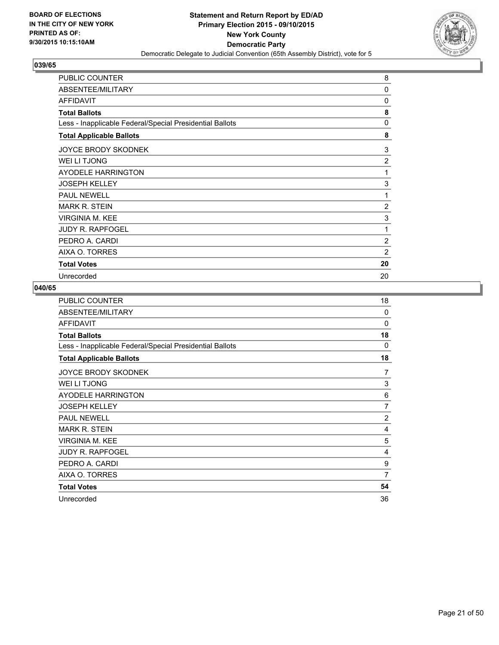

| PUBLIC COUNTER                                           | 8              |
|----------------------------------------------------------|----------------|
| ABSENTEE/MILITARY                                        | 0              |
| <b>AFFIDAVIT</b>                                         | 0              |
| <b>Total Ballots</b>                                     | 8              |
| Less - Inapplicable Federal/Special Presidential Ballots | 0              |
| <b>Total Applicable Ballots</b>                          | 8              |
| <b>JOYCE BRODY SKODNEK</b>                               | 3              |
| WEI LI TJONG                                             | $\overline{2}$ |
| AYODELE HARRINGTON                                       | 1              |
| <b>JOSEPH KELLEY</b>                                     | 3              |
| <b>PAUL NEWELL</b>                                       | 1              |
| <b>MARK R. STEIN</b>                                     | 2              |
| <b>VIRGINIA M. KEE</b>                                   | 3              |
| <b>JUDY R. RAPFOGEL</b>                                  | 1              |
| PEDRO A. CARDI                                           | 2              |
| AIXA O. TORRES                                           | 2              |
| <b>Total Votes</b>                                       | 20             |
| Unrecorded                                               | 20             |

| PUBLIC COUNTER                                           | 18             |
|----------------------------------------------------------|----------------|
| ABSENTEE/MILITARY                                        | $\mathbf 0$    |
| <b>AFFIDAVIT</b>                                         | $\mathbf 0$    |
| <b>Total Ballots</b>                                     | 18             |
| Less - Inapplicable Federal/Special Presidential Ballots | 0              |
| <b>Total Applicable Ballots</b>                          | 18             |
| JOYCE BRODY SKODNEK                                      | 7              |
| WEI LI TJONG                                             | 3              |
| <b>AYODELE HARRINGTON</b>                                | 6              |
| <b>JOSEPH KELLEY</b>                                     | 7              |
| <b>PAUL NEWELL</b>                                       | $\overline{2}$ |
| <b>MARK R. STEIN</b>                                     | 4              |
| <b>VIRGINIA M. KEE</b>                                   | 5              |
| JUDY R. RAPFOGEL                                         | 4              |
| PEDRO A. CARDI                                           | 9              |
| AIXA O. TORRES                                           | 7              |
| <b>Total Votes</b>                                       | 54             |
| Unrecorded                                               | 36             |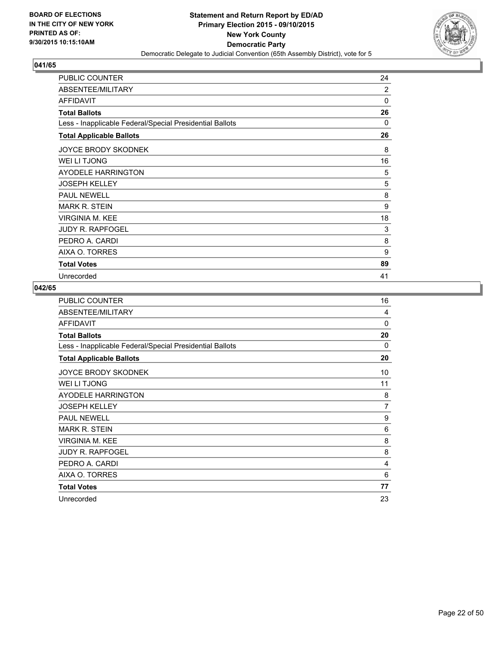

| PUBLIC COUNTER                                           | 24       |
|----------------------------------------------------------|----------|
| ABSENTEE/MILITARY                                        | 2        |
| <b>AFFIDAVIT</b>                                         | $\Omega$ |
| <b>Total Ballots</b>                                     | 26       |
| Less - Inapplicable Federal/Special Presidential Ballots | 0        |
| <b>Total Applicable Ballots</b>                          | 26       |
| <b>JOYCE BRODY SKODNEK</b>                               | 8        |
| WEI LI TJONG                                             | 16       |
| AYODELE HARRINGTON                                       | 5        |
| <b>JOSEPH KELLEY</b>                                     | 5        |
| <b>PAUL NEWELL</b>                                       | 8        |
| <b>MARK R. STEIN</b>                                     | 9        |
| <b>VIRGINIA M. KEE</b>                                   | 18       |
| <b>JUDY R. RAPFOGEL</b>                                  | 3        |
| PEDRO A. CARDI                                           | 8        |
| AIXA O. TORRES                                           | 9        |
| <b>Total Votes</b>                                       | 89       |
| Unrecorded                                               | 41       |

| PUBLIC COUNTER                                           | 16             |
|----------------------------------------------------------|----------------|
| ABSENTEE/MILITARY                                        | 4              |
| <b>AFFIDAVIT</b>                                         | $\Omega$       |
| <b>Total Ballots</b>                                     | 20             |
| Less - Inapplicable Federal/Special Presidential Ballots | 0              |
| <b>Total Applicable Ballots</b>                          | 20             |
| JOYCE BRODY SKODNEK                                      | 10             |
| WEI LI TJONG                                             | 11             |
| <b>AYODELE HARRINGTON</b>                                | 8              |
| <b>JOSEPH KELLEY</b>                                     | $\overline{7}$ |
| <b>PAUL NEWELL</b>                                       | 9              |
| <b>MARK R. STEIN</b>                                     | 6              |
| <b>VIRGINIA M. KEE</b>                                   | 8              |
| JUDY R. RAPFOGEL                                         | 8              |
| PEDRO A. CARDI                                           | 4              |
| AIXA O. TORRES                                           | 6              |
| <b>Total Votes</b>                                       | 77             |
| Unrecorded                                               | 23             |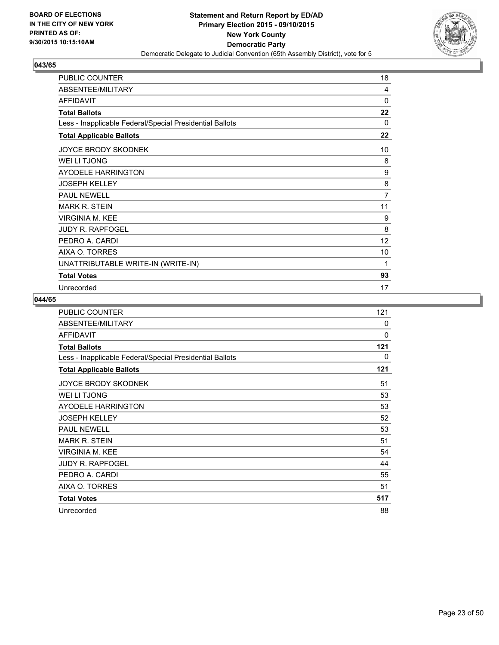

| PUBLIC COUNTER                                           | 18       |
|----------------------------------------------------------|----------|
| ABSENTEE/MILITARY                                        | 4        |
| <b>AFFIDAVIT</b>                                         | 0        |
| <b>Total Ballots</b>                                     | 22       |
| Less - Inapplicable Federal/Special Presidential Ballots | $\Omega$ |
| <b>Total Applicable Ballots</b>                          | 22       |
| JOYCE BRODY SKODNEK                                      | 10       |
| <b>WEI LI TJONG</b>                                      | 8        |
| <b>AYODELE HARRINGTON</b>                                | 9        |
| <b>JOSEPH KELLEY</b>                                     | 8        |
| <b>PAUL NEWELL</b>                                       | 7        |
| <b>MARK R. STEIN</b>                                     | 11       |
| <b>VIRGINIA M. KEE</b>                                   | 9        |
| <b>JUDY R. RAPFOGEL</b>                                  | 8        |
| PEDRO A. CARDI                                           | 12       |
| AIXA O. TORRES                                           | 10       |
| UNATTRIBUTABLE WRITE-IN (WRITE-IN)                       | 1        |
| <b>Total Votes</b>                                       | 93       |
| Unrecorded                                               | 17       |

| <b>PUBLIC COUNTER</b>                                    | 121      |
|----------------------------------------------------------|----------|
| ABSENTEE/MILITARY                                        | $\Omega$ |
| <b>AFFIDAVIT</b>                                         | $\Omega$ |
| <b>Total Ballots</b>                                     | 121      |
| Less - Inapplicable Federal/Special Presidential Ballots | 0        |
| <b>Total Applicable Ballots</b>                          | 121      |
| <b>JOYCE BRODY SKODNEK</b>                               | 51       |
| WEI LI TJONG                                             | 53       |
| <b>AYODELE HARRINGTON</b>                                | 53       |
| <b>JOSEPH KELLEY</b>                                     | 52       |
| <b>PAUL NEWELL</b>                                       | 53       |
| <b>MARK R. STEIN</b>                                     | 51       |
| <b>VIRGINIA M. KEE</b>                                   | 54       |
| JUDY R. RAPFOGEL                                         | 44       |
| PEDRO A. CARDI                                           | 55       |
| AIXA O. TORRES                                           | 51       |
| <b>Total Votes</b>                                       | 517      |
| Unrecorded                                               | 88       |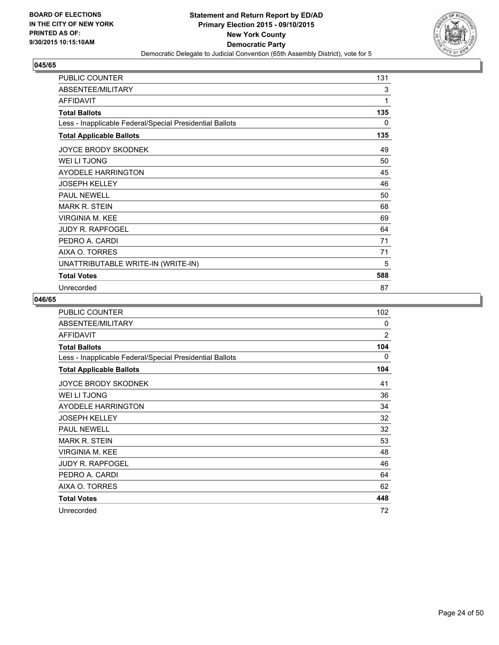

| PUBLIC COUNTER                                           | 131 |
|----------------------------------------------------------|-----|
| ABSENTEE/MILITARY                                        | 3   |
| <b>AFFIDAVIT</b>                                         | 1   |
| <b>Total Ballots</b>                                     | 135 |
| Less - Inapplicable Federal/Special Presidential Ballots | 0   |
| <b>Total Applicable Ballots</b>                          | 135 |
| JOYCE BRODY SKODNEK                                      | 49  |
| <b>WEI LI TJONG</b>                                      | 50  |
| <b>AYODELE HARRINGTON</b>                                | 45  |
| <b>JOSEPH KELLEY</b>                                     | 46  |
| <b>PAUL NEWELL</b>                                       | 50  |
| <b>MARK R. STEIN</b>                                     | 68  |
| <b>VIRGINIA M. KEE</b>                                   | 69  |
| <b>JUDY R. RAPFOGEL</b>                                  | 64  |
| PEDRO A. CARDI                                           | 71  |
| AIXA O. TORRES                                           | 71  |
| UNATTRIBUTABLE WRITE-IN (WRITE-IN)                       | 5   |
| <b>Total Votes</b>                                       | 588 |
| Unrecorded                                               | 87  |

| <b>PUBLIC COUNTER</b>                                    | 102            |
|----------------------------------------------------------|----------------|
| ABSENTEE/MILITARY                                        | $\Omega$       |
| <b>AFFIDAVIT</b>                                         | $\overline{2}$ |
| <b>Total Ballots</b>                                     | 104            |
| Less - Inapplicable Federal/Special Presidential Ballots | 0              |
| <b>Total Applicable Ballots</b>                          | 104            |
| JOYCE BRODY SKODNEK                                      | 41             |
| WEI LI TJONG                                             | 36             |
| <b>AYODELE HARRINGTON</b>                                | 34             |
| <b>JOSEPH KELLEY</b>                                     | 32             |
| <b>PAUL NEWELL</b>                                       | 32             |
| <b>MARK R. STEIN</b>                                     | 53             |
| <b>VIRGINIA M. KEE</b>                                   | 48             |
| <b>JUDY R. RAPFOGEL</b>                                  | 46             |
| PEDRO A. CARDI                                           | 64             |
| AIXA O. TORRES                                           | 62             |
| <b>Total Votes</b>                                       | 448            |
| Unrecorded                                               | 72             |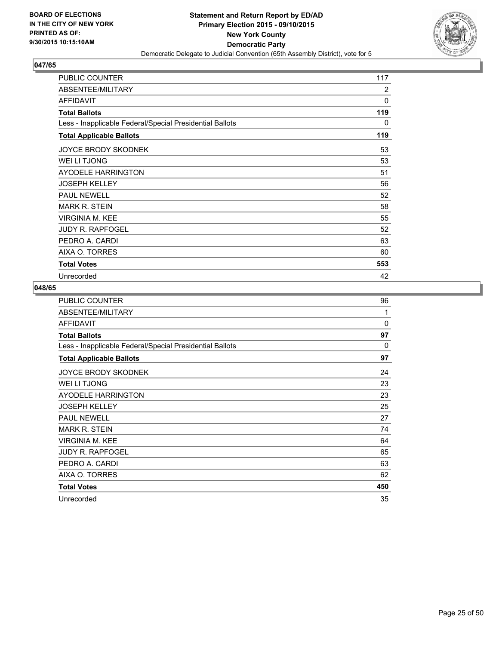

| <b>PUBLIC COUNTER</b>                                    | 117 |
|----------------------------------------------------------|-----|
| ABSENTEE/MILITARY                                        | 2   |
| <b>AFFIDAVIT</b>                                         | 0   |
| <b>Total Ballots</b>                                     | 119 |
| Less - Inapplicable Federal/Special Presidential Ballots | 0   |
| <b>Total Applicable Ballots</b>                          | 119 |
| <b>JOYCE BRODY SKODNEK</b>                               | 53  |
| WEI LI TJONG                                             | 53  |
| AYODELE HARRINGTON                                       | 51  |
| <b>JOSEPH KELLEY</b>                                     | 56  |
| <b>PAUL NEWELL</b>                                       | 52  |
| MARK R. STEIN                                            | 58  |
| <b>VIRGINIA M. KEE</b>                                   | 55  |
| <b>JUDY R. RAPFOGEL</b>                                  | 52  |
| PEDRO A. CARDI                                           | 63  |
| AIXA O. TORRES                                           | 60  |
| <b>Total Votes</b>                                       | 553 |
| Unrecorded                                               | 42  |

| PUBLIC COUNTER                                           | 96       |
|----------------------------------------------------------|----------|
| ABSENTEE/MILITARY                                        | 1        |
| <b>AFFIDAVIT</b>                                         | $\Omega$ |
| <b>Total Ballots</b>                                     | 97       |
| Less - Inapplicable Federal/Special Presidential Ballots | 0        |
| <b>Total Applicable Ballots</b>                          | 97       |
| JOYCE BRODY SKODNEK                                      | 24       |
| WEI LI TJONG                                             | 23       |
| <b>AYODELE HARRINGTON</b>                                | 23       |
| <b>JOSEPH KELLEY</b>                                     | 25       |
| <b>PAUL NEWELL</b>                                       | 27       |
| <b>MARK R. STEIN</b>                                     | 74       |
| <b>VIRGINIA M. KEE</b>                                   | 64       |
| <b>JUDY R. RAPFOGEL</b>                                  | 65       |
| PEDRO A. CARDI                                           | 63       |
| AIXA O. TORRES                                           | 62       |
| <b>Total Votes</b>                                       | 450      |
| Unrecorded                                               | 35       |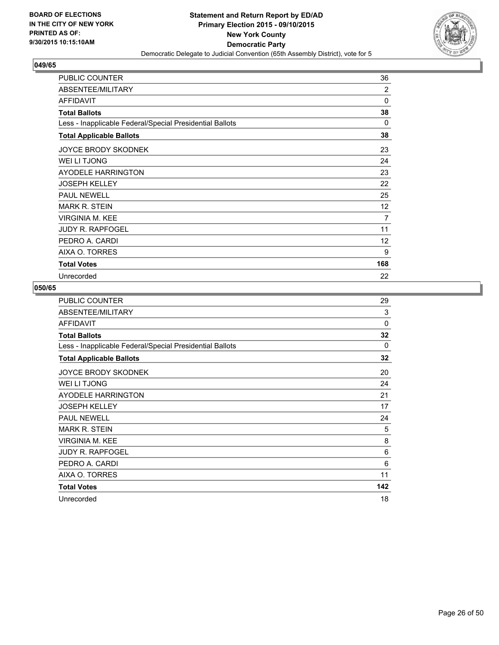

| PUBLIC COUNTER                                           | 36       |
|----------------------------------------------------------|----------|
| ABSENTEE/MILITARY                                        | 2        |
| <b>AFFIDAVIT</b>                                         | $\Omega$ |
| <b>Total Ballots</b>                                     | 38       |
| Less - Inapplicable Federal/Special Presidential Ballots | 0        |
| <b>Total Applicable Ballots</b>                          | 38       |
| <b>JOYCE BRODY SKODNEK</b>                               | 23       |
| WEI LI TJONG                                             | 24       |
| AYODELE HARRINGTON                                       | 23       |
| <b>JOSEPH KELLEY</b>                                     | 22       |
| <b>PAUL NEWELL</b>                                       | 25       |
| <b>MARK R. STEIN</b>                                     | 12       |
| <b>VIRGINIA M. KEE</b>                                   | 7        |
| <b>JUDY R. RAPFOGEL</b>                                  | 11       |
| PEDRO A. CARDI                                           | 12       |
| AIXA O. TORRES                                           | 9        |
| <b>Total Votes</b>                                       | 168      |
| Unrecorded                                               | 22       |

| PUBLIC COUNTER                                           | 29       |
|----------------------------------------------------------|----------|
| ABSENTEE/MILITARY                                        | 3        |
| <b>AFFIDAVIT</b>                                         | $\Omega$ |
| <b>Total Ballots</b>                                     | 32       |
| Less - Inapplicable Federal/Special Presidential Ballots | 0        |
| <b>Total Applicable Ballots</b>                          | 32       |
| <b>JOYCE BRODY SKODNEK</b>                               | 20       |
| WEI LI TJONG                                             | 24       |
| AYODELE HARRINGTON                                       | 21       |
| <b>JOSEPH KELLEY</b>                                     | 17       |
| <b>PAUL NEWELL</b>                                       | 24       |
| <b>MARK R. STEIN</b>                                     | 5        |
| <b>VIRGINIA M. KEE</b>                                   | 8        |
| <b>JUDY R. RAPFOGEL</b>                                  | 6        |
| PEDRO A. CARDI                                           | 6        |
| AIXA O. TORRES                                           | 11       |
| <b>Total Votes</b>                                       | 142      |
| Unrecorded                                               | 18       |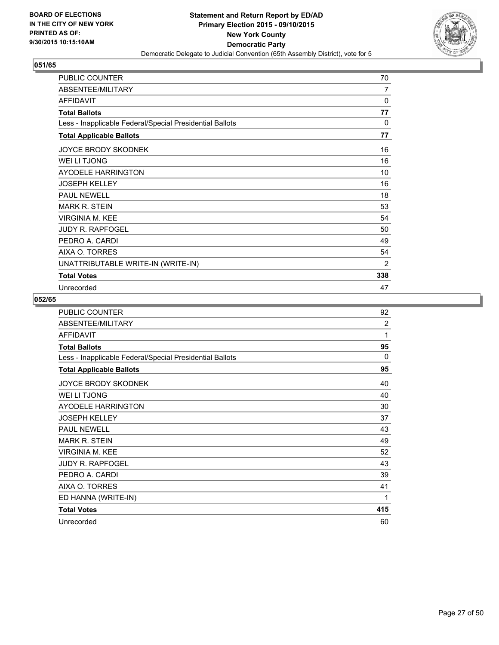

| PUBLIC COUNTER                                           | 70       |
|----------------------------------------------------------|----------|
| ABSENTEE/MILITARY                                        | 7        |
| <b>AFFIDAVIT</b>                                         | 0        |
| <b>Total Ballots</b>                                     | 77       |
| Less - Inapplicable Federal/Special Presidential Ballots | $\Omega$ |
| <b>Total Applicable Ballots</b>                          | 77       |
| <b>JOYCE BRODY SKODNEK</b>                               | 16       |
| <b>WEI LI TJONG</b>                                      | 16       |
| <b>AYODELE HARRINGTON</b>                                | 10       |
| <b>JOSEPH KELLEY</b>                                     | 16       |
| <b>PAUL NEWELL</b>                                       | 18       |
| <b>MARK R. STEIN</b>                                     | 53       |
| <b>VIRGINIA M. KEE</b>                                   | 54       |
| <b>JUDY R. RAPFOGEL</b>                                  | 50       |
| PEDRO A. CARDI                                           | 49       |
| AIXA O. TORRES                                           | 54       |
| UNATTRIBUTABLE WRITE-IN (WRITE-IN)                       | 2        |
| <b>Total Votes</b>                                       | 338      |
| Unrecorded                                               | 47       |

| PUBLIC COUNTER                                           | 92             |
|----------------------------------------------------------|----------------|
| ABSENTEE/MILITARY                                        | $\overline{2}$ |
| <b>AFFIDAVIT</b>                                         | 1              |
| <b>Total Ballots</b>                                     | 95             |
| Less - Inapplicable Federal/Special Presidential Ballots | $\Omega$       |
| <b>Total Applicable Ballots</b>                          | 95             |
| <b>JOYCE BRODY SKODNEK</b>                               | 40             |
| WEI LI TJONG                                             | 40             |
| <b>AYODELE HARRINGTON</b>                                | 30             |
| <b>JOSEPH KELLEY</b>                                     | 37             |
| <b>PAUL NEWELL</b>                                       | 43             |
| <b>MARK R. STEIN</b>                                     | 49             |
| <b>VIRGINIA M. KEE</b>                                   | 52             |
| <b>JUDY R. RAPFOGEL</b>                                  | 43             |
| PEDRO A. CARDI                                           | 39             |
| AIXA O. TORRES                                           | 41             |
| ED HANNA (WRITE-IN)                                      | 1              |
| <b>Total Votes</b>                                       | 415            |
| Unrecorded                                               | 60             |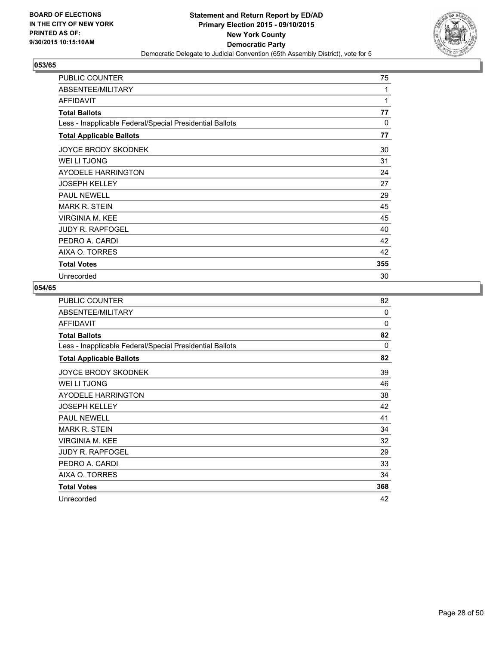

| <b>PUBLIC COUNTER</b>                                    | 75  |
|----------------------------------------------------------|-----|
| ABSENTEE/MILITARY                                        | 1   |
| <b>AFFIDAVIT</b>                                         | 1   |
| <b>Total Ballots</b>                                     | 77  |
| Less - Inapplicable Federal/Special Presidential Ballots | 0   |
| <b>Total Applicable Ballots</b>                          | 77  |
| <b>JOYCE BRODY SKODNEK</b>                               | 30  |
| WEI LI TJONG                                             | 31  |
| AYODELE HARRINGTON                                       | 24  |
| <b>JOSEPH KELLEY</b>                                     | 27  |
| <b>PAUL NEWELL</b>                                       | 29  |
| <b>MARK R. STEIN</b>                                     | 45  |
| <b>VIRGINIA M. KEE</b>                                   | 45  |
| <b>JUDY R. RAPFOGEL</b>                                  | 40  |
| PEDRO A. CARDI                                           | 42  |
| AIXA O. TORRES                                           | 42  |
| <b>Total Votes</b>                                       | 355 |
| Unrecorded                                               | 30  |

| PUBLIC COUNTER                                           | 82  |
|----------------------------------------------------------|-----|
| ABSENTEE/MILITARY                                        | 0   |
| <b>AFFIDAVIT</b>                                         | 0   |
| <b>Total Ballots</b>                                     | 82  |
| Less - Inapplicable Federal/Special Presidential Ballots | 0   |
| <b>Total Applicable Ballots</b>                          | 82  |
| <b>JOYCE BRODY SKODNEK</b>                               | 39  |
| WEI LI TJONG                                             | 46  |
| <b>AYODELE HARRINGTON</b>                                | 38  |
| <b>JOSEPH KELLEY</b>                                     | 42  |
| <b>PAUL NEWELL</b>                                       | 41  |
| <b>MARK R. STEIN</b>                                     | 34  |
| <b>VIRGINIA M. KEE</b>                                   | 32  |
| <b>JUDY R. RAPFOGEL</b>                                  | 29  |
| PEDRO A. CARDI                                           | 33  |
| AIXA O. TORRES                                           | 34  |
| <b>Total Votes</b>                                       | 368 |
| Unrecorded                                               | 42  |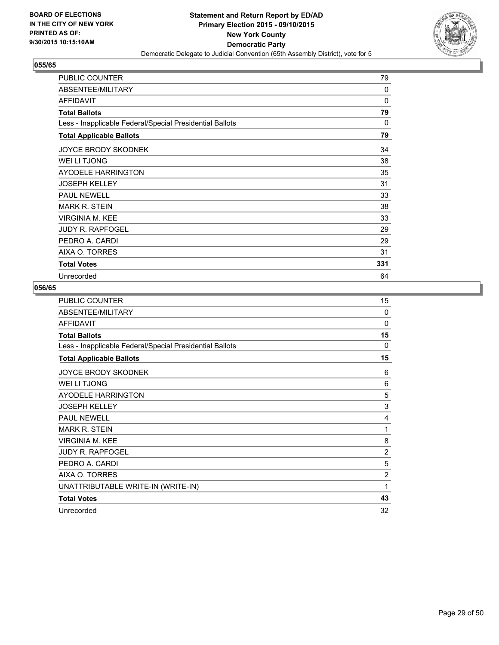

| PUBLIC COUNTER                                           | 79  |
|----------------------------------------------------------|-----|
| ABSENTEE/MILITARY                                        | 0   |
| <b>AFFIDAVIT</b>                                         | 0   |
| <b>Total Ballots</b>                                     | 79  |
| Less - Inapplicable Federal/Special Presidential Ballots | 0   |
| <b>Total Applicable Ballots</b>                          | 79  |
| <b>JOYCE BRODY SKODNEK</b>                               | 34  |
| WEI LI TJONG                                             | 38  |
| AYODELE HARRINGTON                                       | 35  |
| <b>JOSEPH KELLEY</b>                                     | 31  |
| <b>PAUL NEWELL</b>                                       | 33  |
| MARK R. STEIN                                            | 38  |
| <b>VIRGINIA M. KEE</b>                                   | 33  |
| <b>JUDY R. RAPFOGEL</b>                                  | 29  |
| PEDRO A. CARDI                                           | 29  |
| AIXA O. TORRES                                           | 31  |
| <b>Total Votes</b>                                       | 331 |
| Unrecorded                                               | 64  |

| PUBLIC COUNTER                                           | 15             |
|----------------------------------------------------------|----------------|
| ABSENTEE/MILITARY                                        | 0              |
| <b>AFFIDAVIT</b>                                         | 0              |
| <b>Total Ballots</b>                                     | 15             |
| Less - Inapplicable Federal/Special Presidential Ballots | $\mathbf{0}$   |
| <b>Total Applicable Ballots</b>                          | 15             |
| <b>JOYCE BRODY SKODNEK</b>                               | 6              |
| WEI LI TJONG                                             | 6              |
| <b>AYODELE HARRINGTON</b>                                | 5              |
| <b>JOSEPH KELLEY</b>                                     | 3              |
| <b>PAUL NEWELL</b>                                       | 4              |
| <b>MARK R. STEIN</b>                                     | 1              |
| <b>VIRGINIA M. KEE</b>                                   | 8              |
| <b>JUDY R. RAPFOGEL</b>                                  | $\overline{2}$ |
| PEDRO A. CARDI                                           | 5              |
| AIXA O. TORRES                                           | $\overline{c}$ |
| UNATTRIBUTABLE WRITE-IN (WRITE-IN)                       | 1              |
| <b>Total Votes</b>                                       | 43             |
| Unrecorded                                               | 32             |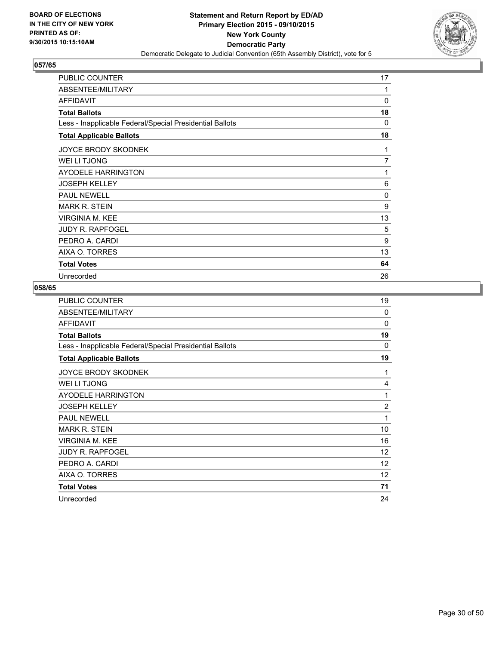

| <b>PUBLIC COUNTER</b>                                    | 17       |
|----------------------------------------------------------|----------|
| ABSENTEE/MILITARY                                        | 1        |
| <b>AFFIDAVIT</b>                                         | $\Omega$ |
| <b>Total Ballots</b>                                     | 18       |
| Less - Inapplicable Federal/Special Presidential Ballots | 0        |
| <b>Total Applicable Ballots</b>                          | 18       |
| <b>JOYCE BRODY SKODNEK</b>                               | 1        |
| WEI LI TJONG                                             | 7        |
| AYODELE HARRINGTON                                       | 1        |
| <b>JOSEPH KELLEY</b>                                     | 6        |
| <b>PAUL NEWELL</b>                                       | $\Omega$ |
| <b>MARK R. STEIN</b>                                     | 9        |
| VIRGINIA M. KEE                                          | 13       |
| <b>JUDY R. RAPFOGEL</b>                                  | 5        |
| PEDRO A. CARDI                                           | 9        |
| AIXA O. TORRES                                           | 13       |
| <b>Total Votes</b>                                       | 64       |
| Unrecorded                                               | 26       |

| PUBLIC COUNTER                                           | 19             |
|----------------------------------------------------------|----------------|
| ABSENTEE/MILITARY                                        | $\mathbf 0$    |
| <b>AFFIDAVIT</b>                                         | $\mathbf 0$    |
| <b>Total Ballots</b>                                     | 19             |
| Less - Inapplicable Federal/Special Presidential Ballots | 0              |
| <b>Total Applicable Ballots</b>                          | 19             |
| JOYCE BRODY SKODNEK                                      | 1              |
| WEI LI TJONG                                             | 4              |
| <b>AYODELE HARRINGTON</b>                                | 1              |
| <b>JOSEPH KELLEY</b>                                     | $\overline{2}$ |
| <b>PAUL NEWELL</b>                                       | 1              |
| <b>MARK R. STEIN</b>                                     | 10             |
| <b>VIRGINIA M. KEE</b>                                   | 16             |
| JUDY R. RAPFOGEL                                         | 12             |
| PEDRO A. CARDI                                           | 12             |
| AIXA O. TORRES                                           | 12             |
| <b>Total Votes</b>                                       | 71             |
| Unrecorded                                               | 24             |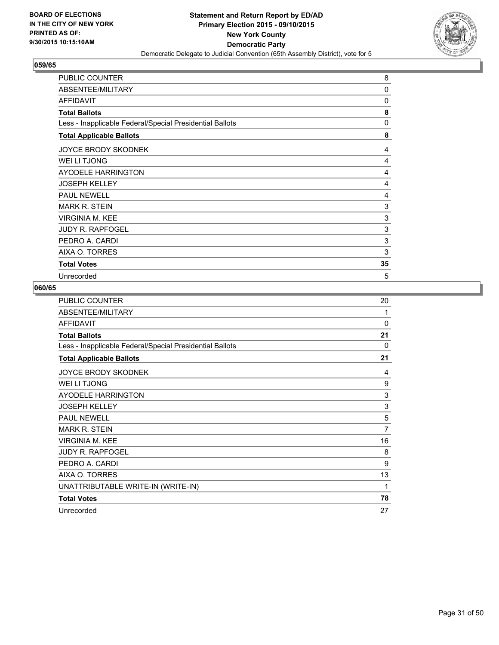

| PUBLIC COUNTER                                           | 8  |
|----------------------------------------------------------|----|
| ABSENTEE/MILITARY                                        | 0  |
| <b>AFFIDAVIT</b>                                         | 0  |
| <b>Total Ballots</b>                                     | 8  |
| Less - Inapplicable Federal/Special Presidential Ballots | 0  |
| <b>Total Applicable Ballots</b>                          | 8  |
| <b>JOYCE BRODY SKODNEK</b>                               | 4  |
| WEI LI TJONG                                             | 4  |
| AYODELE HARRINGTON                                       | 4  |
| <b>JOSEPH KELLEY</b>                                     | 4  |
| <b>PAUL NEWELL</b>                                       | 4  |
| <b>MARK R. STEIN</b>                                     | 3  |
| <b>VIRGINIA M. KEE</b>                                   | 3  |
| JUDY R. RAPFOGEL                                         | 3  |
| PEDRO A. CARDI                                           | 3  |
| AIXA O. TORRES                                           | 3  |
| <b>Total Votes</b>                                       | 35 |
| Unrecorded                                               | 5  |

| PUBLIC COUNTER                                           | 20       |
|----------------------------------------------------------|----------|
| ABSENTEE/MILITARY                                        | 1        |
| <b>AFFIDAVIT</b>                                         | 0        |
| <b>Total Ballots</b>                                     | 21       |
| Less - Inapplicable Federal/Special Presidential Ballots | $\Omega$ |
| <b>Total Applicable Ballots</b>                          | 21       |
| <b>JOYCE BRODY SKODNEK</b>                               | 4        |
| WEI LI TJONG                                             | 9        |
| <b>AYODELE HARRINGTON</b>                                | 3        |
| <b>JOSEPH KELLEY</b>                                     | 3        |
| <b>PAUL NEWELL</b>                                       | 5        |
| <b>MARK R. STEIN</b>                                     | 7        |
| <b>VIRGINIA M. KEE</b>                                   | 16       |
| <b>JUDY R. RAPFOGEL</b>                                  | 8        |
| PEDRO A. CARDI                                           | 9        |
| AIXA O. TORRES                                           | 13       |
| UNATTRIBUTABLE WRITE-IN (WRITE-IN)                       | 1        |
| <b>Total Votes</b>                                       | 78       |
| Unrecorded                                               | 27       |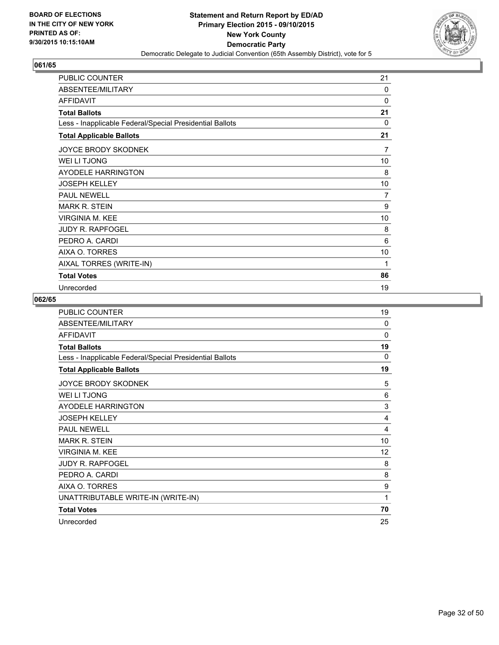

| PUBLIC COUNTER                                           | 21 |
|----------------------------------------------------------|----|
| ABSENTEE/MILITARY                                        | 0  |
| <b>AFFIDAVIT</b>                                         | 0  |
| <b>Total Ballots</b>                                     | 21 |
| Less - Inapplicable Federal/Special Presidential Ballots | 0  |
| <b>Total Applicable Ballots</b>                          | 21 |
| <b>JOYCE BRODY SKODNEK</b>                               | 7  |
| <b>WEI LI TJONG</b>                                      | 10 |
| <b>AYODELE HARRINGTON</b>                                | 8  |
| <b>JOSEPH KELLEY</b>                                     | 10 |
| <b>PAUL NEWELL</b>                                       | 7  |
| <b>MARK R. STEIN</b>                                     | 9  |
| <b>VIRGINIA M. KEE</b>                                   | 10 |
| <b>JUDY R. RAPFOGEL</b>                                  | 8  |
| PEDRO A. CARDI                                           | 6  |
| AIXA O. TORRES                                           | 10 |
| AIXAL TORRES (WRITE-IN)                                  | 1  |
| <b>Total Votes</b>                                       | 86 |
| Unrecorded                                               | 19 |

| <b>PUBLIC COUNTER</b>                                    | 19       |
|----------------------------------------------------------|----------|
| ABSENTEE/MILITARY                                        | $\Omega$ |
| <b>AFFIDAVIT</b>                                         | 0        |
| <b>Total Ballots</b>                                     | 19       |
| Less - Inapplicable Federal/Special Presidential Ballots | $\Omega$ |
| <b>Total Applicable Ballots</b>                          | 19       |
| JOYCE BRODY SKODNEK                                      | 5        |
| WEI LI TJONG                                             | 6        |
| <b>AYODELE HARRINGTON</b>                                | 3        |
| <b>JOSEPH KELLEY</b>                                     | 4        |
| <b>PAUL NEWELL</b>                                       | 4        |
| <b>MARK R. STEIN</b>                                     | 10       |
| VIRGINIA M. KEE                                          | 12       |
| <b>JUDY R. RAPFOGEL</b>                                  | 8        |
| PEDRO A. CARDI                                           | 8        |
| AIXA O. TORRES                                           | 9        |
| UNATTRIBUTABLE WRITE-IN (WRITE-IN)                       | 1        |
| <b>Total Votes</b>                                       | 70       |
| Unrecorded                                               | 25       |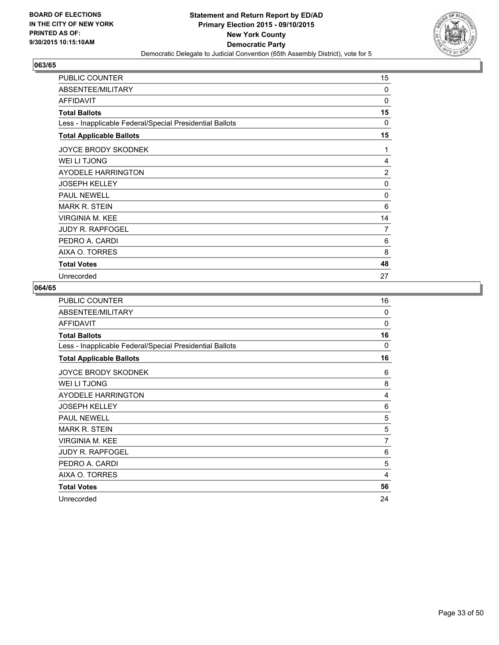

| PUBLIC COUNTER                                           | 15             |
|----------------------------------------------------------|----------------|
| ABSENTEE/MILITARY                                        | $\Omega$       |
| <b>AFFIDAVIT</b>                                         | $\Omega$       |
| <b>Total Ballots</b>                                     | 15             |
| Less - Inapplicable Federal/Special Presidential Ballots | $\Omega$       |
| <b>Total Applicable Ballots</b>                          | 15             |
| <b>JOYCE BRODY SKODNEK</b>                               | 1              |
| WEI LI TJONG                                             | 4              |
| AYODELE HARRINGTON                                       | $\overline{c}$ |
| <b>JOSEPH KELLEY</b>                                     | 0              |
| <b>PAUL NEWELL</b>                                       | 0              |
| <b>MARK R. STEIN</b>                                     | 6              |
| <b>VIRGINIA M. KEE</b>                                   | 14             |
| <b>JUDY R. RAPFOGEL</b>                                  | 7              |
| PEDRO A. CARDI                                           | 6              |
| AIXA O. TORRES                                           | 8              |
| <b>Total Votes</b>                                       | 48             |
| Unrecorded                                               | 27             |

| PUBLIC COUNTER                                           | 16          |
|----------------------------------------------------------|-------------|
| ABSENTEE/MILITARY                                        | $\mathbf 0$ |
| <b>AFFIDAVIT</b>                                         | 0           |
| <b>Total Ballots</b>                                     | 16          |
| Less - Inapplicable Federal/Special Presidential Ballots | 0           |
| <b>Total Applicable Ballots</b>                          | 16          |
| JOYCE BRODY SKODNEK                                      | 6           |
| WEI LI TJONG                                             | 8           |
| <b>AYODELE HARRINGTON</b>                                | 4           |
| <b>JOSEPH KELLEY</b>                                     | 6           |
| <b>PAUL NEWELL</b>                                       | 5           |
| <b>MARK R. STEIN</b>                                     | 5           |
| <b>VIRGINIA M. KEE</b>                                   | 7           |
| <b>JUDY R. RAPFOGEL</b>                                  | 6           |
| PEDRO A. CARDI                                           | 5           |
| AIXA O. TORRES                                           | 4           |
| <b>Total Votes</b>                                       | 56          |
| Unrecorded                                               | 24          |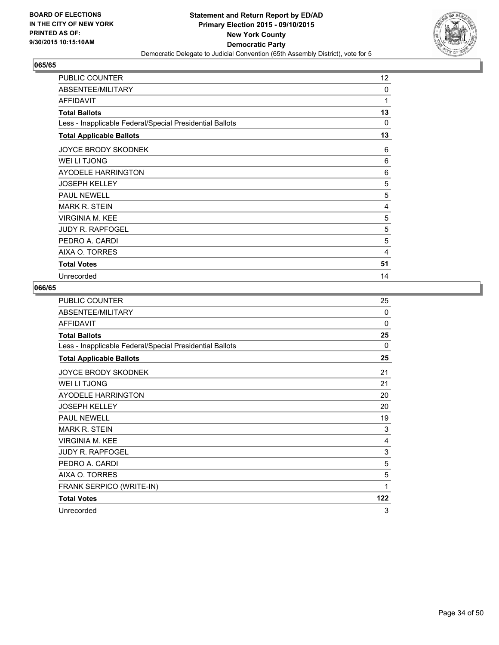

| PUBLIC COUNTER                                           | 12       |
|----------------------------------------------------------|----------|
| ABSENTEE/MILITARY                                        | 0        |
| <b>AFFIDAVIT</b>                                         | 1        |
| <b>Total Ballots</b>                                     | 13       |
| Less - Inapplicable Federal/Special Presidential Ballots | $\Omega$ |
| <b>Total Applicable Ballots</b>                          | 13       |
| <b>JOYCE BRODY SKODNEK</b>                               | 6        |
| WEI LI TJONG                                             | 6        |
| AYODELE HARRINGTON                                       | 6        |
| <b>JOSEPH KELLEY</b>                                     | 5        |
| <b>PAUL NEWELL</b>                                       | 5        |
| MARK R. STEIN                                            | 4        |
| <b>VIRGINIA M. KEE</b>                                   | 5        |
| <b>JUDY R. RAPFOGEL</b>                                  | 5        |
| PEDRO A. CARDI                                           | 5        |
| AIXA O. TORRES                                           | 4        |
| <b>Total Votes</b>                                       | 51       |
| Unrecorded                                               | 14       |

| PUBLIC COUNTER                                           | 25          |
|----------------------------------------------------------|-------------|
| ABSENTEE/MILITARY                                        | 0           |
| <b>AFFIDAVIT</b>                                         | $\mathbf 0$ |
| <b>Total Ballots</b>                                     | 25          |
| Less - Inapplicable Federal/Special Presidential Ballots | 0           |
| <b>Total Applicable Ballots</b>                          | 25          |
| <b>JOYCE BRODY SKODNEK</b>                               | 21          |
| WEI LI TJONG                                             | 21          |
| <b>AYODELE HARRINGTON</b>                                | 20          |
| <b>JOSEPH KELLEY</b>                                     | 20          |
| <b>PAUL NEWELL</b>                                       | 19          |
| <b>MARK R. STEIN</b>                                     | 3           |
| <b>VIRGINIA M. KEE</b>                                   | 4           |
| <b>JUDY R. RAPFOGEL</b>                                  | 3           |
| PEDRO A. CARDI                                           | 5           |
| AIXA O. TORRES                                           | 5           |
| FRANK SERPICO (WRITE-IN)                                 | 1           |
| <b>Total Votes</b>                                       | 122         |
| Unrecorded                                               | 3           |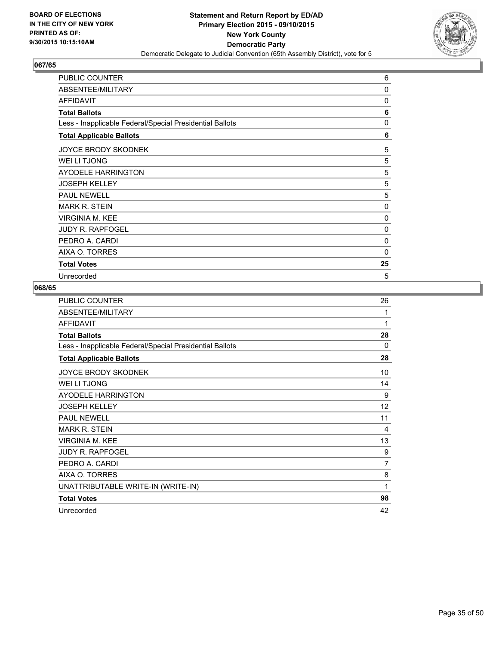

| PUBLIC COUNTER                                           | 6  |
|----------------------------------------------------------|----|
| ABSENTEE/MILITARY                                        | 0  |
| <b>AFFIDAVIT</b>                                         | 0  |
| <b>Total Ballots</b>                                     | 6  |
| Less - Inapplicable Federal/Special Presidential Ballots | 0  |
| <b>Total Applicable Ballots</b>                          | 6  |
| <b>JOYCE BRODY SKODNEK</b>                               | 5  |
| WEI LI TJONG                                             | 5  |
| AYODELE HARRINGTON                                       | 5  |
| <b>JOSEPH KELLEY</b>                                     | 5  |
| <b>PAUL NEWELL</b>                                       | 5  |
| <b>MARK R. STEIN</b>                                     | 0  |
| <b>VIRGINIA M. KEE</b>                                   | 0  |
| JUDY R. RAPFOGEL                                         | 0  |
| PEDRO A. CARDI                                           | 0  |
| AIXA O. TORRES                                           | 0  |
| <b>Total Votes</b>                                       | 25 |
| Unrecorded                                               | 5  |

| <b>PUBLIC COUNTER</b>                                    | 26 |
|----------------------------------------------------------|----|
| ABSENTEE/MILITARY                                        | 1  |
| <b>AFFIDAVIT</b>                                         | 1  |
| <b>Total Ballots</b>                                     | 28 |
| Less - Inapplicable Federal/Special Presidential Ballots | 0  |
| <b>Total Applicable Ballots</b>                          | 28 |
| <b>JOYCE BRODY SKODNEK</b>                               | 10 |
| WEI LI TJONG                                             | 14 |
| <b>AYODELE HARRINGTON</b>                                | 9  |
| <b>JOSEPH KELLEY</b>                                     | 12 |
| <b>PAUL NEWELL</b>                                       | 11 |
| <b>MARK R. STEIN</b>                                     | 4  |
| <b>VIRGINIA M. KEE</b>                                   | 13 |
| <b>JUDY R. RAPFOGEL</b>                                  | 9  |
| PEDRO A. CARDI                                           | 7  |
| AIXA O. TORRES                                           | 8  |
| UNATTRIBUTABLE WRITE-IN (WRITE-IN)                       | 1  |
| <b>Total Votes</b>                                       | 98 |
| Unrecorded                                               | 42 |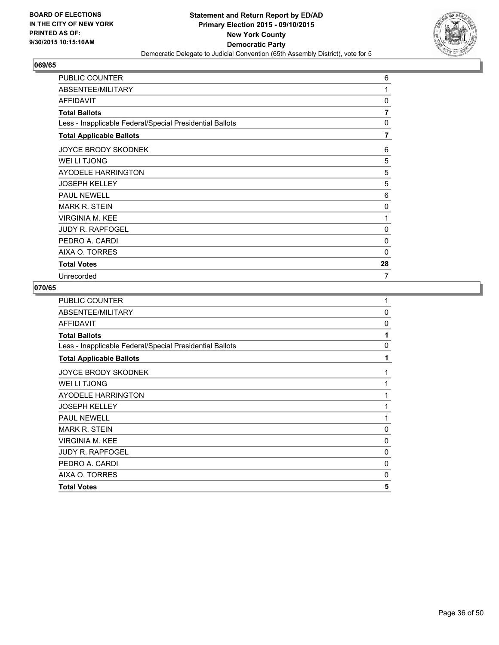

| PUBLIC COUNTER                                           | 6              |
|----------------------------------------------------------|----------------|
| ABSENTEE/MILITARY                                        | 1              |
| <b>AFFIDAVIT</b>                                         | 0              |
| <b>Total Ballots</b>                                     | $\overline{7}$ |
| Less - Inapplicable Federal/Special Presidential Ballots | 0              |
| <b>Total Applicable Ballots</b>                          | $\overline{7}$ |
| <b>JOYCE BRODY SKODNEK</b>                               | 6              |
| WEI LI TJONG                                             | 5              |
| AYODELE HARRINGTON                                       | 5              |
| <b>JOSEPH KELLEY</b>                                     | 5              |
| <b>PAUL NEWELL</b>                                       | 6              |
| <b>MARK R. STEIN</b>                                     | 0              |
| <b>VIRGINIA M. KEE</b>                                   | 1              |
| <b>JUDY R. RAPFOGEL</b>                                  | 0              |
| PEDRO A. CARDI                                           | 0              |
| AIXA O. TORRES                                           | 0              |
| <b>Total Votes</b>                                       | 28             |
| Unrecorded                                               | 7              |

| PUBLIC COUNTER                                           | 1           |
|----------------------------------------------------------|-------------|
| ABSENTEE/MILITARY                                        | $\mathbf 0$ |
| <b>AFFIDAVIT</b>                                         | 0           |
| <b>Total Ballots</b>                                     | $\mathbf 1$ |
| Less - Inapplicable Federal/Special Presidential Ballots | 0           |
| <b>Total Applicable Ballots</b>                          | 1           |
| <b>JOYCE BRODY SKODNEK</b>                               | 1           |
| WEI LI TJONG                                             | 1           |
| <b>AYODELE HARRINGTON</b>                                | 1           |
| <b>JOSEPH KELLEY</b>                                     | 1           |
| <b>PAUL NEWELL</b>                                       | 1           |
| <b>MARK R. STEIN</b>                                     | 0           |
| <b>VIRGINIA M. KEE</b>                                   | $\mathbf 0$ |
| JUDY R. RAPFOGEL                                         | 0           |
| PEDRO A. CARDI                                           | 0           |
| AIXA O. TORRES                                           | $\Omega$    |
| <b>Total Votes</b>                                       | 5           |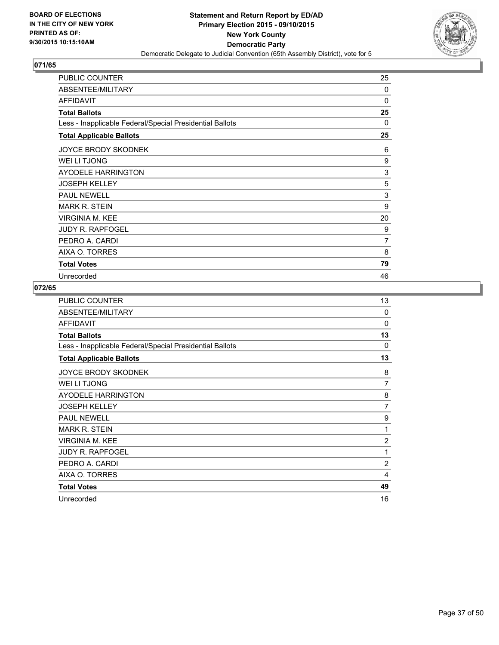

| <b>PUBLIC COUNTER</b>                                    | 25 |
|----------------------------------------------------------|----|
| ABSENTEE/MILITARY                                        | 0  |
| <b>AFFIDAVIT</b>                                         | 0  |
| <b>Total Ballots</b>                                     | 25 |
| Less - Inapplicable Federal/Special Presidential Ballots | 0  |
| <b>Total Applicable Ballots</b>                          | 25 |
| <b>JOYCE BRODY SKODNEK</b>                               | 6  |
| WEI LI TJONG                                             | 9  |
| AYODELE HARRINGTON                                       | 3  |
| <b>JOSEPH KELLEY</b>                                     | 5  |
| <b>PAUL NEWELL</b>                                       | 3  |
| MARK R. STEIN                                            | 9  |
| <b>VIRGINIA M. KEE</b>                                   | 20 |
| <b>JUDY R. RAPFOGEL</b>                                  | 9  |
| PEDRO A. CARDI                                           | 7  |
| AIXA O. TORRES                                           | 8  |
| <b>Total Votes</b>                                       | 79 |
| Unrecorded                                               | 46 |

| PUBLIC COUNTER                                           | 13             |
|----------------------------------------------------------|----------------|
| ABSENTEE/MILITARY                                        | $\Omega$       |
| <b>AFFIDAVIT</b>                                         | $\Omega$       |
| <b>Total Ballots</b>                                     | 13             |
| Less - Inapplicable Federal/Special Presidential Ballots | 0              |
| <b>Total Applicable Ballots</b>                          | 13             |
| JOYCE BRODY SKODNEK                                      | 8              |
| WEI LI TJONG                                             | 7              |
| <b>AYODELE HARRINGTON</b>                                | 8              |
| <b>JOSEPH KELLEY</b>                                     | $\overline{7}$ |
| <b>PAUL NEWELL</b>                                       | 9              |
| <b>MARK R. STEIN</b>                                     | 1              |
| <b>VIRGINIA M. KEE</b>                                   | 2              |
| JUDY R. RAPFOGEL                                         | 1              |
| PEDRO A. CARDI                                           | $\overline{2}$ |
| AIXA O. TORRES                                           | 4              |
| <b>Total Votes</b>                                       | 49             |
| Unrecorded                                               | 16             |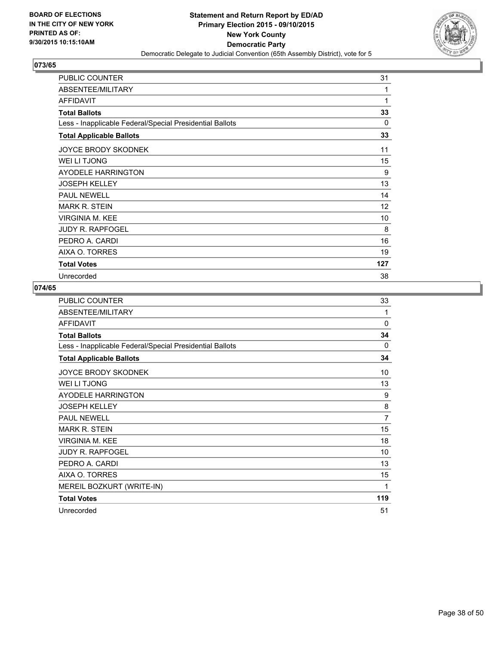

| PUBLIC COUNTER                                           | 31  |
|----------------------------------------------------------|-----|
| ABSENTEE/MILITARY                                        | 1   |
| AFFIDAVIT                                                | 1   |
| <b>Total Ballots</b>                                     | 33  |
| Less - Inapplicable Federal/Special Presidential Ballots | 0   |
| <b>Total Applicable Ballots</b>                          | 33  |
| <b>JOYCE BRODY SKODNEK</b>                               | 11  |
| WEI LI TJONG                                             | 15  |
| AYODELE HARRINGTON                                       | 9   |
| <b>JOSEPH KELLEY</b>                                     | 13  |
| <b>PAUL NEWELL</b>                                       | 14  |
| <b>MARK R. STEIN</b>                                     | 12  |
| <b>VIRGINIA M. KEE</b>                                   | 10  |
| <b>JUDY R. RAPFOGEL</b>                                  | 8   |
| PEDRO A. CARDI                                           | 16  |
| AIXA O. TORRES                                           | 19  |
| <b>Total Votes</b>                                       | 127 |
| Unrecorded                                               | 38  |

| PUBLIC COUNTER                                           | 33           |
|----------------------------------------------------------|--------------|
| ABSENTEE/MILITARY                                        | 1            |
| <b>AFFIDAVIT</b>                                         | $\mathbf{0}$ |
| <b>Total Ballots</b>                                     | 34           |
| Less - Inapplicable Federal/Special Presidential Ballots | 0            |
| <b>Total Applicable Ballots</b>                          | 34           |
| <b>JOYCE BRODY SKODNEK</b>                               | 10           |
| WEI LI TJONG                                             | 13           |
| AYODELE HARRINGTON                                       | 9            |
| <b>JOSEPH KELLEY</b>                                     | 8            |
| <b>PAUL NEWELL</b>                                       | 7            |
| <b>MARK R. STEIN</b>                                     | 15           |
| <b>VIRGINIA M. KEE</b>                                   | 18           |
| <b>JUDY R. RAPFOGEL</b>                                  | 10           |
| PEDRO A. CARDI                                           | 13           |
| AIXA O. TORRES                                           | 15           |
| MEREIL BOZKURT (WRITE-IN)                                | 1            |
| <b>Total Votes</b>                                       | 119          |
| Unrecorded                                               | 51           |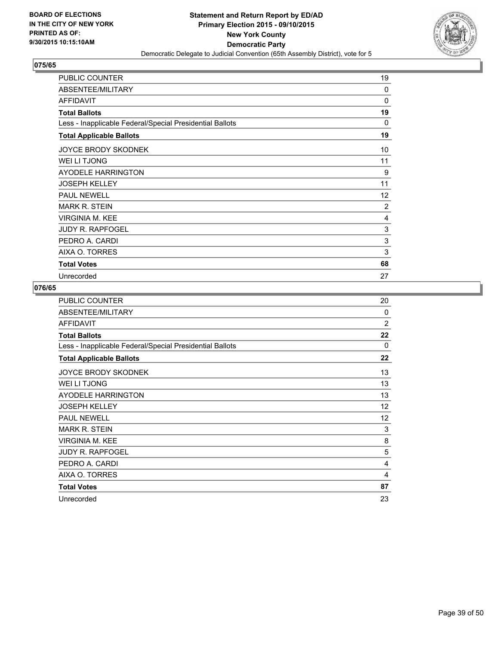

| <b>PUBLIC COUNTER</b>                                    | 19       |
|----------------------------------------------------------|----------|
| ABSENTEE/MILITARY                                        | $\Omega$ |
| <b>AFFIDAVIT</b>                                         | $\Omega$ |
| <b>Total Ballots</b>                                     | 19       |
| Less - Inapplicable Federal/Special Presidential Ballots | $\Omega$ |
| <b>Total Applicable Ballots</b>                          | 19       |
| <b>JOYCE BRODY SKODNEK</b>                               | 10       |
| WEI LI TJONG                                             | 11       |
| AYODELE HARRINGTON                                       | 9        |
| <b>JOSEPH KELLEY</b>                                     | 11       |
| <b>PAUL NEWELL</b>                                       | 12       |
| <b>MARK R. STEIN</b>                                     | 2        |
| <b>VIRGINIA M. KEE</b>                                   | 4        |
| <b>JUDY R. RAPFOGEL</b>                                  | 3        |
| PEDRO A. CARDI                                           | 3        |
| AIXA O. TORRES                                           | 3        |
| <b>Total Votes</b>                                       | 68       |
| Unrecorded                                               | 27       |

| PUBLIC COUNTER                                           | 20             |
|----------------------------------------------------------|----------------|
| ABSENTEE/MILITARY                                        | 0              |
| <b>AFFIDAVIT</b>                                         | $\overline{2}$ |
| <b>Total Ballots</b>                                     | 22             |
| Less - Inapplicable Federal/Special Presidential Ballots | 0              |
| <b>Total Applicable Ballots</b>                          | 22             |
| JOYCE BRODY SKODNEK                                      | 13             |
| <b>WEI LI TJONG</b>                                      | 13             |
| <b>AYODELE HARRINGTON</b>                                | 13             |
| <b>JOSEPH KELLEY</b>                                     | 12             |
| <b>PAUL NEWELL</b>                                       | 12             |
| <b>MARK R. STEIN</b>                                     | 3              |
| <b>VIRGINIA M. KEE</b>                                   | 8              |
| <b>JUDY R. RAPFOGEL</b>                                  | 5              |
| PEDRO A. CARDI                                           | 4              |
| AIXA O. TORRES                                           | 4              |
| <b>Total Votes</b>                                       | 87             |
| Unrecorded                                               | 23             |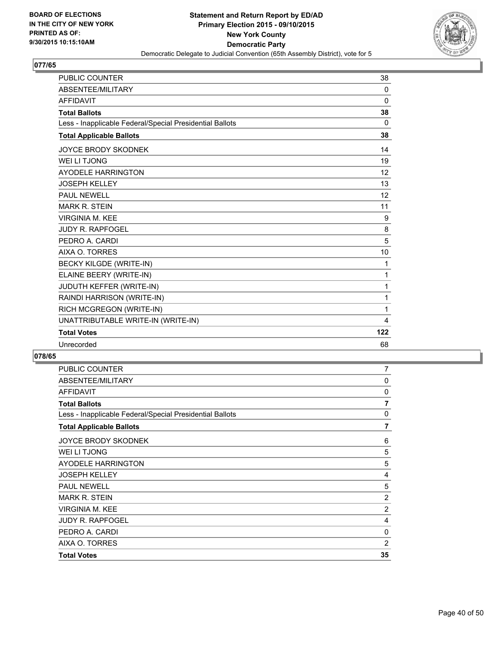

| <b>PUBLIC COUNTER</b>                                    | 38       |
|----------------------------------------------------------|----------|
| ABSENTEE/MILITARY                                        | 0        |
| <b>AFFIDAVIT</b>                                         | 0        |
| <b>Total Ballots</b>                                     | 38       |
| Less - Inapplicable Federal/Special Presidential Ballots | $\Omega$ |
| <b>Total Applicable Ballots</b>                          | 38       |
| <b>JOYCE BRODY SKODNEK</b>                               | 14       |
| WEI LI TJONG                                             | 19       |
| <b>AYODELE HARRINGTON</b>                                | 12       |
| <b>JOSEPH KELLEY</b>                                     | 13       |
| <b>PAUL NEWELL</b>                                       | 12       |
| <b>MARK R. STEIN</b>                                     | 11       |
| <b>VIRGINIA M. KEE</b>                                   | 9        |
| <b>JUDY R. RAPFOGEL</b>                                  | 8        |
| PEDRO A. CARDI                                           | 5        |
| AIXA O. TORRES                                           | 10       |
| BECKY KILGDE (WRITE-IN)                                  | 1        |
| ELAINE BEERY (WRITE-IN)                                  | 1        |
| JUDUTH KEFFER (WRITE-IN)                                 | 1        |
| RAINDI HARRISON (WRITE-IN)                               | 1        |
| RICH MCGREGON (WRITE-IN)                                 | 1        |
| UNATTRIBUTABLE WRITE-IN (WRITE-IN)                       | 4        |
| <b>Total Votes</b>                                       | 122      |
| Unrecorded                                               | 68       |

| <b>PUBLIC COUNTER</b>                                    | 7              |
|----------------------------------------------------------|----------------|
| ABSENTEE/MILITARY                                        | 0              |
| <b>AFFIDAVIT</b>                                         | 0              |
| <b>Total Ballots</b>                                     | $\overline{7}$ |
| Less - Inapplicable Federal/Special Presidential Ballots | 0              |
| <b>Total Applicable Ballots</b>                          | $\overline{7}$ |
| JOYCE BRODY SKODNEK                                      | 6              |
| WEI LI TJONG                                             | 5              |
| AYODELE HARRINGTON                                       | 5              |
| <b>JOSEPH KELLEY</b>                                     | 4              |
| <b>PAUL NEWELL</b>                                       | 5              |
| <b>MARK R. STEIN</b>                                     | 2              |
| <b>VIRGINIA M. KEE</b>                                   | $\overline{2}$ |
| <b>JUDY R. RAPFOGEL</b>                                  | 4              |
| PEDRO A. CARDI                                           | 0              |
| AIXA O. TORRES                                           | $\overline{2}$ |
| <b>Total Votes</b>                                       | 35             |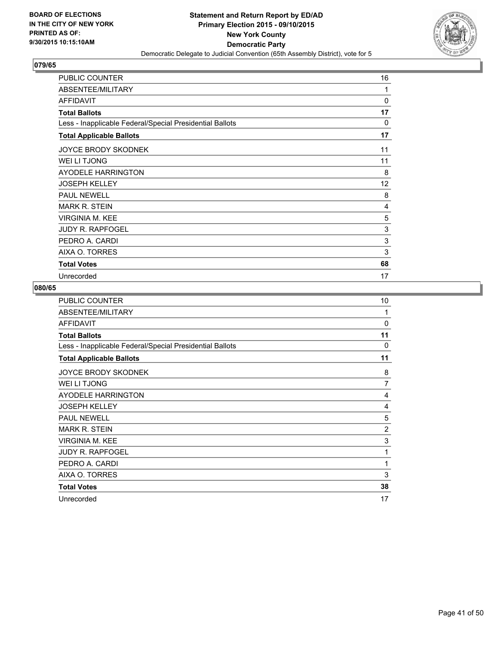

| <b>PUBLIC COUNTER</b>                                    | 16       |
|----------------------------------------------------------|----------|
| ABSENTEE/MILITARY                                        | 1        |
| AFFIDAVIT                                                | $\Omega$ |
| <b>Total Ballots</b>                                     | 17       |
| Less - Inapplicable Federal/Special Presidential Ballots | $\Omega$ |
| <b>Total Applicable Ballots</b>                          | 17       |
| <b>JOYCE BRODY SKODNEK</b>                               | 11       |
| WEI LI TJONG                                             | 11       |
| AYODELE HARRINGTON                                       | 8        |
| <b>JOSEPH KELLEY</b>                                     | 12       |
| <b>PAUL NEWELL</b>                                       | 8        |
| <b>MARK R. STEIN</b>                                     | 4        |
| <b>VIRGINIA M. KEE</b>                                   | 5        |
| <b>JUDY R. RAPFOGEL</b>                                  | 3        |
| PEDRO A. CARDI                                           | 3        |
| AIXA O. TORRES                                           | 3        |
| <b>Total Votes</b>                                       | 68       |
| Unrecorded                                               | 17       |

| PUBLIC COUNTER                                           | 10             |
|----------------------------------------------------------|----------------|
| ABSENTEE/MILITARY                                        | 1              |
| <b>AFFIDAVIT</b>                                         | 0              |
| <b>Total Ballots</b>                                     | 11             |
| Less - Inapplicable Federal/Special Presidential Ballots | 0              |
| <b>Total Applicable Ballots</b>                          | 11             |
| JOYCE BRODY SKODNEK                                      | 8              |
| WEI LI TJONG                                             | 7              |
| <b>AYODELE HARRINGTON</b>                                | 4              |
| <b>JOSEPH KELLEY</b>                                     | 4              |
| <b>PAUL NEWELL</b>                                       | 5              |
| <b>MARK R. STEIN</b>                                     | $\overline{c}$ |
| <b>VIRGINIA M. KEE</b>                                   | 3              |
| <b>JUDY R. RAPFOGEL</b>                                  | 1              |
| PEDRO A. CARDI                                           | 1              |
| AIXA O. TORRES                                           | 3              |
| <b>Total Votes</b>                                       | 38             |
| Unrecorded                                               | 17             |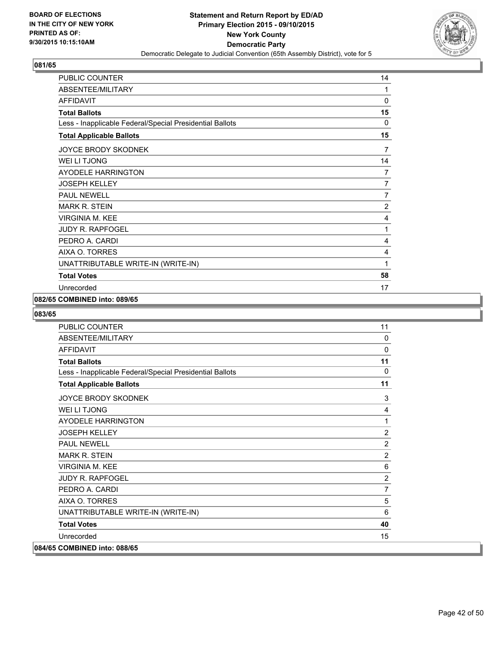

| PUBLIC COUNTER                                           | 14             |
|----------------------------------------------------------|----------------|
| ABSENTEE/MILITARY                                        | 1              |
| <b>AFFIDAVIT</b>                                         | 0              |
| <b>Total Ballots</b>                                     | 15             |
| Less - Inapplicable Federal/Special Presidential Ballots | 0              |
| <b>Total Applicable Ballots</b>                          | 15             |
| JOYCE BRODY SKODNEK                                      | 7              |
| <b>WEI LI TJONG</b>                                      | 14             |
| <b>AYODELE HARRINGTON</b>                                | 7              |
| <b>JOSEPH KELLEY</b>                                     | 7              |
| <b>PAUL NEWELL</b>                                       | 7              |
| <b>MARK R. STEIN</b>                                     | $\overline{2}$ |
| <b>VIRGINIA M. KEE</b>                                   | 4              |
| <b>JUDY R. RAPFOGEL</b>                                  | 1              |
| PEDRO A. CARDI                                           | 4              |
| AIXA O. TORRES                                           | 4              |
| UNATTRIBUTABLE WRITE-IN (WRITE-IN)                       | 1              |
| <b>Total Votes</b>                                       | 58             |
| Unrecorded                                               | 17             |

#### **082/65 COMBINED into: 089/65**

| <b>PUBLIC COUNTER</b>                                    | 11             |
|----------------------------------------------------------|----------------|
| ABSENTEE/MILITARY                                        | 0              |
| <b>AFFIDAVIT</b>                                         | $\Omega$       |
| <b>Total Ballots</b>                                     | 11             |
| Less - Inapplicable Federal/Special Presidential Ballots | 0              |
| <b>Total Applicable Ballots</b>                          | 11             |
| JOYCE BRODY SKODNEK                                      | 3              |
| WEI LI TJONG                                             | 4              |
| <b>AYODELE HARRINGTON</b>                                | 1              |
| <b>JOSEPH KELLEY</b>                                     | $\overline{2}$ |
| <b>PAUL NEWELL</b>                                       | $\overline{2}$ |
| <b>MARK R. STEIN</b>                                     | $\overline{2}$ |
| <b>VIRGINIA M. KEE</b>                                   | 6              |
| <b>JUDY R. RAPFOGEL</b>                                  | $\overline{2}$ |
| PEDRO A. CARDI                                           | $\overline{7}$ |
| AIXA O. TORRES                                           | 5              |
| UNATTRIBUTABLE WRITE-IN (WRITE-IN)                       | 6              |
| <b>Total Votes</b>                                       | 40             |
| Unrecorded                                               | 15             |
| 084/65 COMBINED into: 088/65                             |                |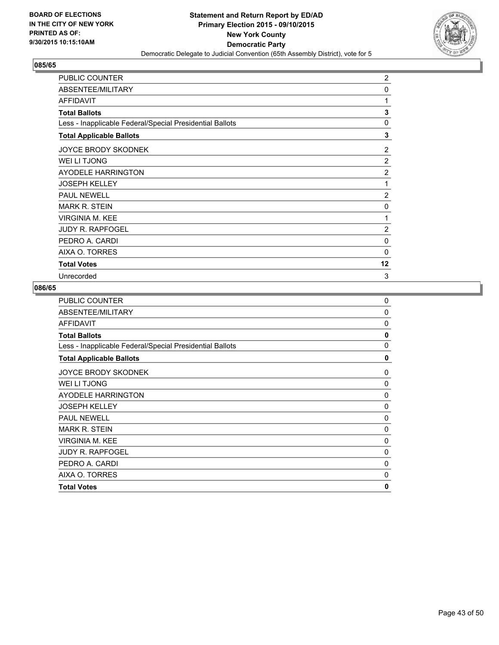

| PUBLIC COUNTER                                           | 2              |
|----------------------------------------------------------|----------------|
| ABSENTEE/MILITARY                                        | 0              |
| <b>AFFIDAVIT</b>                                         | 1              |
| <b>Total Ballots</b>                                     | 3              |
| Less - Inapplicable Federal/Special Presidential Ballots | 0              |
| <b>Total Applicable Ballots</b>                          | 3              |
| <b>JOYCE BRODY SKODNEK</b>                               | 2              |
| WEI LI TJONG                                             | 2              |
| AYODELE HARRINGTON                                       | 2              |
| <b>JOSEPH KELLEY</b>                                     | 1              |
| <b>PAUL NEWELL</b>                                       | $\overline{2}$ |
| <b>MARK R. STEIN</b>                                     | 0              |
| <b>VIRGINIA M. KEE</b>                                   | 1              |
| JUDY R. RAPFOGEL                                         | 2              |
| PEDRO A. CARDI                                           | 0              |
| AIXA O. TORRES                                           | 0              |
| <b>Total Votes</b>                                       | 12             |
| Unrecorded                                               | 3              |

| <b>PUBLIC COUNTER</b>                                    | $\mathbf 0$ |
|----------------------------------------------------------|-------------|
| ABSENTEE/MILITARY                                        | 0           |
| <b>AFFIDAVIT</b>                                         | 0           |
| <b>Total Ballots</b>                                     | 0           |
| Less - Inapplicable Federal/Special Presidential Ballots | 0           |
| <b>Total Applicable Ballots</b>                          | 0           |
| <b>JOYCE BRODY SKODNEK</b>                               | 0           |
| WEI LI TJONG                                             | 0           |
| AYODELE HARRINGTON                                       | 0           |
| <b>JOSEPH KELLEY</b>                                     | 0           |
| <b>PAUL NEWELL</b>                                       | 0           |
| <b>MARK R. STEIN</b>                                     | 0           |
| <b>VIRGINIA M. KEE</b>                                   | 0           |
| <b>JUDY R. RAPFOGEL</b>                                  | 0           |
| PEDRO A. CARDI                                           | 0           |
| AIXA O. TORRES                                           | $\Omega$    |
| <b>Total Votes</b>                                       | 0           |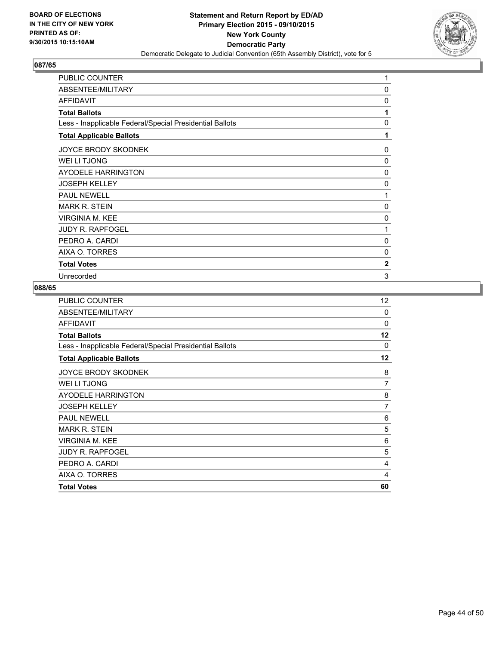

| PUBLIC COUNTER                                           | 1            |
|----------------------------------------------------------|--------------|
| ABSENTEE/MILITARY                                        | 0            |
| <b>AFFIDAVIT</b>                                         | 0            |
| <b>Total Ballots</b>                                     | 1            |
| Less - Inapplicable Federal/Special Presidential Ballots | 0            |
| <b>Total Applicable Ballots</b>                          | 1            |
| <b>JOYCE BRODY SKODNEK</b>                               | 0            |
| WEI LI TJONG                                             | 0            |
| AYODELE HARRINGTON                                       | 0            |
| <b>JOSEPH KELLEY</b>                                     | 0            |
| <b>PAUL NEWELL</b>                                       | 1            |
| <b>MARK R. STEIN</b>                                     | 0            |
| <b>VIRGINIA M. KEE</b>                                   | 0            |
| <b>JUDY R. RAPFOGEL</b>                                  | 1            |
| PEDRO A. CARDI                                           | 0            |
| AIXA O. TORRES                                           | 0            |
| <b>Total Votes</b>                                       | $\mathbf{2}$ |
| Unrecorded                                               | 3            |

| <b>PUBLIC COUNTER</b>                                    | 12       |
|----------------------------------------------------------|----------|
| ABSENTEE/MILITARY                                        | $\Omega$ |
| <b>AFFIDAVIT</b>                                         | 0        |
| <b>Total Ballots</b>                                     | 12       |
| Less - Inapplicable Federal/Special Presidential Ballots | 0        |
| <b>Total Applicable Ballots</b>                          | 12       |
| <b>JOYCE BRODY SKODNEK</b>                               | 8        |
| WEI LI TJONG                                             | 7        |
| AYODELE HARRINGTON                                       | 8        |
| <b>JOSEPH KELLEY</b>                                     | 7        |
| <b>PAUL NEWELL</b>                                       | 6        |
| <b>MARK R. STEIN</b>                                     | 5        |
| <b>VIRGINIA M. KEE</b>                                   | 6        |
| <b>JUDY R. RAPFOGEL</b>                                  | 5        |
| PEDRO A. CARDI                                           | 4        |
| AIXA O. TORRES                                           | 4        |
| <b>Total Votes</b>                                       | 60       |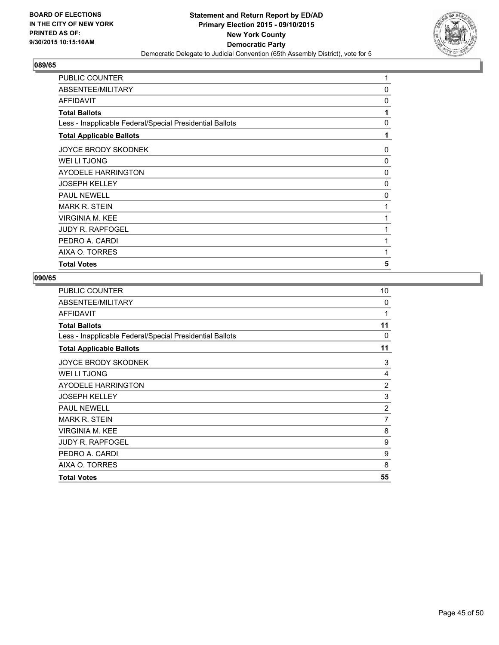

| <b>PUBLIC COUNTER</b>                                    | 1        |
|----------------------------------------------------------|----------|
| ABSENTEE/MILITARY                                        | 0        |
| <b>AFFIDAVIT</b>                                         | 0        |
| <b>Total Ballots</b>                                     | 1        |
| Less - Inapplicable Federal/Special Presidential Ballots | 0        |
| <b>Total Applicable Ballots</b>                          | 1        |
| JOYCE BRODY SKODNEK                                      | 0        |
| WEI LI TJONG                                             | 0        |
| AYODELE HARRINGTON                                       | $\Omega$ |
| <b>JOSEPH KELLEY</b>                                     | 0        |
| <b>PAUL NEWELL</b>                                       | 0        |
| <b>MARK R. STEIN</b>                                     | 1        |
| VIRGINIA M. KEE                                          | 1        |
| <b>JUDY R. RAPFOGEL</b>                                  | 1        |
| PEDRO A. CARDI                                           | 1        |
| AIXA O. TORRES                                           | 1        |
| <b>Total Votes</b>                                       | 5        |

| PUBLIC COUNTER                                           | 10             |
|----------------------------------------------------------|----------------|
| ABSENTEE/MILITARY                                        | 0              |
| <b>AFFIDAVIT</b>                                         | 1              |
| <b>Total Ballots</b>                                     | 11             |
| Less - Inapplicable Federal/Special Presidential Ballots | 0              |
| <b>Total Applicable Ballots</b>                          | 11             |
| JOYCE BRODY SKODNEK                                      | 3              |
| <b>WEI LI TJONG</b>                                      | 4              |
| AYODELE HARRINGTON                                       | $\overline{2}$ |
| <b>JOSEPH KELLEY</b>                                     | 3              |
| <b>PAUL NEWELL</b>                                       | 2              |
| <b>MARK R. STEIN</b>                                     | $\overline{7}$ |
| <b>VIRGINIA M. KEE</b>                                   | 8              |
| JUDY R. RAPFOGEL                                         | 9              |
| PEDRO A. CARDI                                           | 9              |
| AIXA O. TORRES                                           | 8              |
| <b>Total Votes</b>                                       | 55             |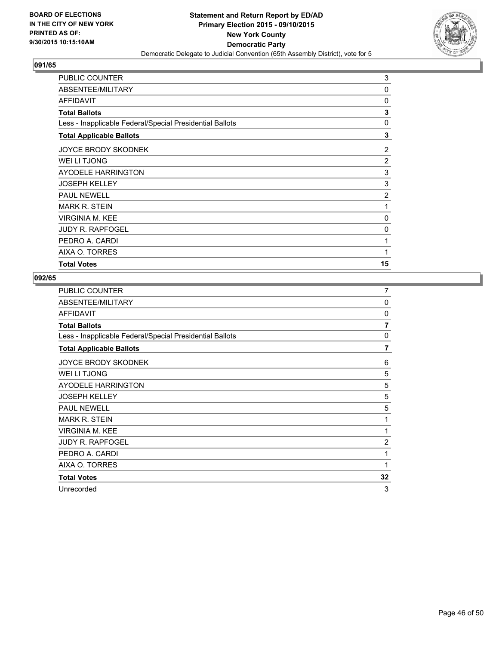

| <b>PUBLIC COUNTER</b>                                    | 3              |
|----------------------------------------------------------|----------------|
| ABSENTEE/MILITARY                                        | 0              |
| <b>AFFIDAVIT</b>                                         | 0              |
| <b>Total Ballots</b>                                     | 3              |
| Less - Inapplicable Federal/Special Presidential Ballots | 0              |
| <b>Total Applicable Ballots</b>                          | 3              |
| JOYCE BRODY SKODNEK                                      | 2              |
| WEI LI TJONG                                             | $\overline{2}$ |
| AYODELE HARRINGTON                                       | 3              |
| <b>JOSEPH KELLEY</b>                                     | 3              |
| <b>PAUL NEWELL</b>                                       | $\overline{c}$ |
| <b>MARK R. STEIN</b>                                     | 1              |
| <b>VIRGINIA M. KEE</b>                                   | 0              |
| <b>JUDY R. RAPFOGEL</b>                                  | 0              |
| PEDRO A. CARDI                                           | 1              |
| AIXA O. TORRES                                           | 1              |
| <b>Total Votes</b>                                       | 15             |

| <b>PUBLIC COUNTER</b>                                    | 7              |
|----------------------------------------------------------|----------------|
| ABSENTEE/MILITARY                                        | 0              |
| <b>AFFIDAVIT</b>                                         | 0              |
| <b>Total Ballots</b>                                     | $\overline{7}$ |
| Less - Inapplicable Federal/Special Presidential Ballots | $\Omega$       |
| <b>Total Applicable Ballots</b>                          | 7              |
| <b>JOYCE BRODY SKODNEK</b>                               | 6              |
| WEI LI TJONG                                             | 5              |
| AYODELE HARRINGTON                                       | 5              |
| <b>JOSEPH KELLEY</b>                                     | 5              |
| <b>PAUL NEWELL</b>                                       | 5              |
| <b>MARK R. STEIN</b>                                     | 1              |
| VIRGINIA M. KEE                                          | 1              |
| <b>JUDY R. RAPFOGEL</b>                                  | $\overline{2}$ |
| PEDRO A. CARDI                                           | 1              |
| AIXA O. TORRES                                           | 1              |
| <b>Total Votes</b>                                       | 32             |
| Unrecorded                                               | 3              |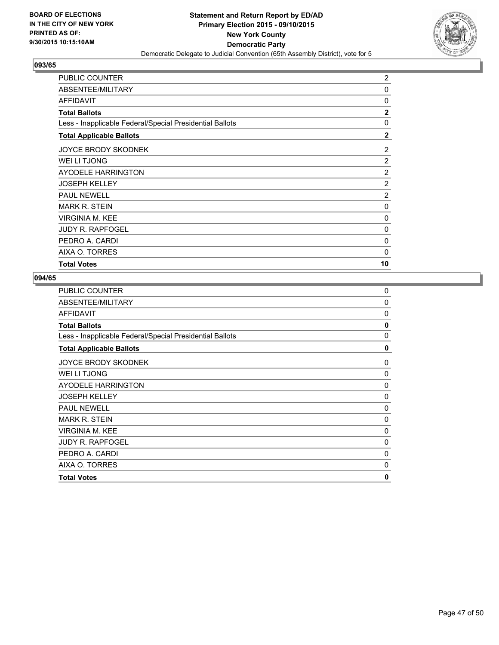

| <b>PUBLIC COUNTER</b>                                    | $\overline{2}$ |
|----------------------------------------------------------|----------------|
| ABSENTEE/MILITARY                                        | 0              |
| <b>AFFIDAVIT</b>                                         | 0              |
| <b>Total Ballots</b>                                     | $\mathbf{2}$   |
| Less - Inapplicable Federal/Special Presidential Ballots | 0              |
| <b>Total Applicable Ballots</b>                          | $\mathbf{2}$   |
| JOYCE BRODY SKODNEK                                      | 2              |
| WEI LI TJONG                                             | $\overline{2}$ |
| AYODELE HARRINGTON                                       | $\overline{2}$ |
| <b>JOSEPH KELLEY</b>                                     | $\overline{2}$ |
| <b>PAUL NEWELL</b>                                       | $\overline{2}$ |
| <b>MARK R. STEIN</b>                                     | 0              |
| <b>VIRGINIA M. KEE</b>                                   | 0              |
| <b>JUDY R. RAPFOGEL</b>                                  | 0              |
| PEDRO A. CARDI                                           | 0              |
| AIXA O. TORRES                                           | $\Omega$       |
| <b>Total Votes</b>                                       | 10             |

| <b>PUBLIC COUNTER</b>                                    | 0        |
|----------------------------------------------------------|----------|
| ABSENTEE/MILITARY                                        | 0        |
| <b>AFFIDAVIT</b>                                         | 0        |
| <b>Total Ballots</b>                                     | 0        |
| Less - Inapplicable Federal/Special Presidential Ballots | $\Omega$ |
| <b>Total Applicable Ballots</b>                          | 0        |
| JOYCE BRODY SKODNEK                                      | 0        |
| <b>WEI LI TJONG</b>                                      | 0        |
| AYODELE HARRINGTON                                       | $\Omega$ |
| <b>JOSEPH KELLEY</b>                                     | 0        |
| <b>PAUL NEWELL</b>                                       | 0        |
| <b>MARK R. STEIN</b>                                     | 0        |
| <b>VIRGINIA M. KEE</b>                                   | 0        |
| <b>JUDY R. RAPFOGEL</b>                                  | 0        |
| PEDRO A. CARDI                                           | 0        |
| AIXA O. TORRES                                           | 0        |
| <b>Total Votes</b>                                       | 0        |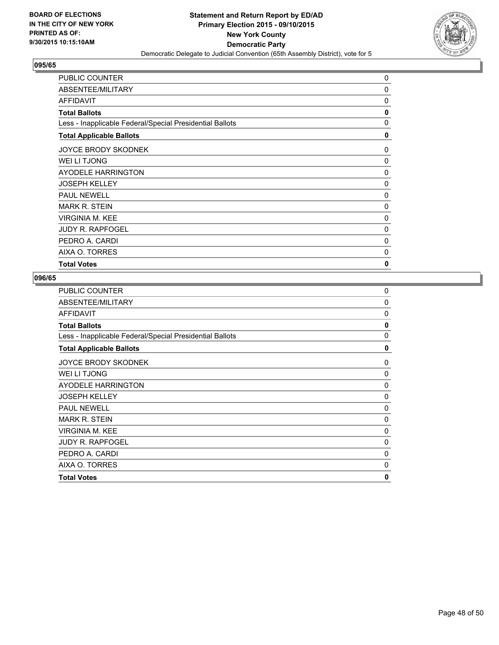

| <b>PUBLIC COUNTER</b>                                    | 0           |
|----------------------------------------------------------|-------------|
| ABSENTEE/MILITARY                                        | $\mathbf 0$ |
| <b>AFFIDAVIT</b>                                         | 0           |
| <b>Total Ballots</b>                                     | 0           |
| Less - Inapplicable Federal/Special Presidential Ballots | 0           |
| <b>Total Applicable Ballots</b>                          | 0           |
| JOYCE BRODY SKODNEK                                      | 0           |
| WEI LI TJONG                                             | 0           |
| AYODELE HARRINGTON                                       | 0           |
| <b>JOSEPH KELLEY</b>                                     | 0           |
| <b>PAUL NEWELL</b>                                       | 0           |
| <b>MARK R. STEIN</b>                                     | 0           |
| <b>VIRGINIA M. KEE</b>                                   | 0           |
| <b>JUDY R. RAPFOGEL</b>                                  | 0           |
| PEDRO A. CARDI                                           | 0           |
| AIXA O. TORRES                                           | 0           |
| <b>Total Votes</b>                                       | 0           |

| <b>PUBLIC COUNTER</b>                                    | 0        |
|----------------------------------------------------------|----------|
| ABSENTEE/MILITARY                                        | 0        |
| <b>AFFIDAVIT</b>                                         | 0        |
| <b>Total Ballots</b>                                     | 0        |
| Less - Inapplicable Federal/Special Presidential Ballots | $\Omega$ |
| <b>Total Applicable Ballots</b>                          | 0        |
| JOYCE BRODY SKODNEK                                      | 0        |
| <b>WEI LI TJONG</b>                                      | 0        |
| AYODELE HARRINGTON                                       | $\Omega$ |
| <b>JOSEPH KELLEY</b>                                     | 0        |
| <b>PAUL NEWELL</b>                                       | 0        |
| <b>MARK R. STEIN</b>                                     | 0        |
| <b>VIRGINIA M. KEE</b>                                   | 0        |
| <b>JUDY R. RAPFOGEL</b>                                  | 0        |
| PEDRO A. CARDI                                           | 0        |
| AIXA O. TORRES                                           | 0        |
| <b>Total Votes</b>                                       | 0        |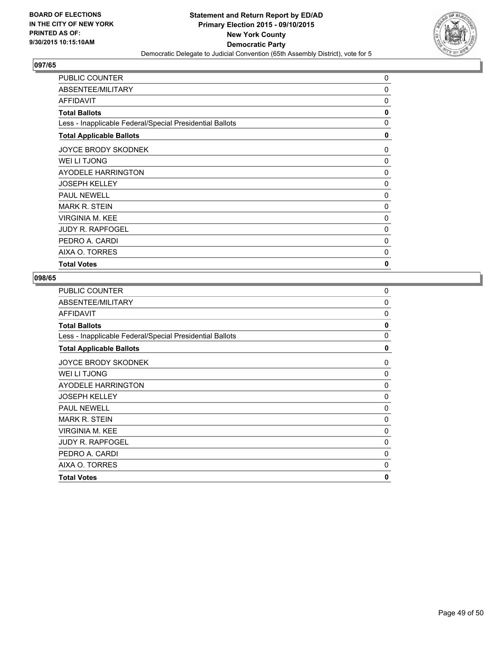

| <b>PUBLIC COUNTER</b>                                    | 0           |
|----------------------------------------------------------|-------------|
| ABSENTEE/MILITARY                                        | $\mathbf 0$ |
| <b>AFFIDAVIT</b>                                         | 0           |
| <b>Total Ballots</b>                                     | 0           |
| Less - Inapplicable Federal/Special Presidential Ballots | 0           |
| <b>Total Applicable Ballots</b>                          | 0           |
| JOYCE BRODY SKODNEK                                      | 0           |
| WEI LI TJONG                                             | 0           |
| AYODELE HARRINGTON                                       | 0           |
| <b>JOSEPH KELLEY</b>                                     | 0           |
| <b>PAUL NEWELL</b>                                       | 0           |
| <b>MARK R. STEIN</b>                                     | 0           |
| <b>VIRGINIA M. KEE</b>                                   | 0           |
| <b>JUDY R. RAPFOGEL</b>                                  | 0           |
| PEDRO A. CARDI                                           | 0           |
| AIXA O. TORRES                                           | 0           |
| <b>Total Votes</b>                                       | 0           |

| <b>PUBLIC COUNTER</b>                                    | 0        |
|----------------------------------------------------------|----------|
| ABSENTEE/MILITARY                                        | 0        |
| <b>AFFIDAVIT</b>                                         | 0        |
| <b>Total Ballots</b>                                     | 0        |
| Less - Inapplicable Federal/Special Presidential Ballots | $\Omega$ |
| <b>Total Applicable Ballots</b>                          | 0        |
| JOYCE BRODY SKODNEK                                      | 0        |
| <b>WEI LI TJONG</b>                                      | 0        |
| AYODELE HARRINGTON                                       | $\Omega$ |
| <b>JOSEPH KELLEY</b>                                     | 0        |
| <b>PAUL NEWELL</b>                                       | 0        |
| <b>MARK R. STEIN</b>                                     | 0        |
| <b>VIRGINIA M. KEE</b>                                   | 0        |
| <b>JUDY R. RAPFOGEL</b>                                  | 0        |
| PEDRO A. CARDI                                           | 0        |
| AIXA O. TORRES                                           | 0        |
| <b>Total Votes</b>                                       | 0        |